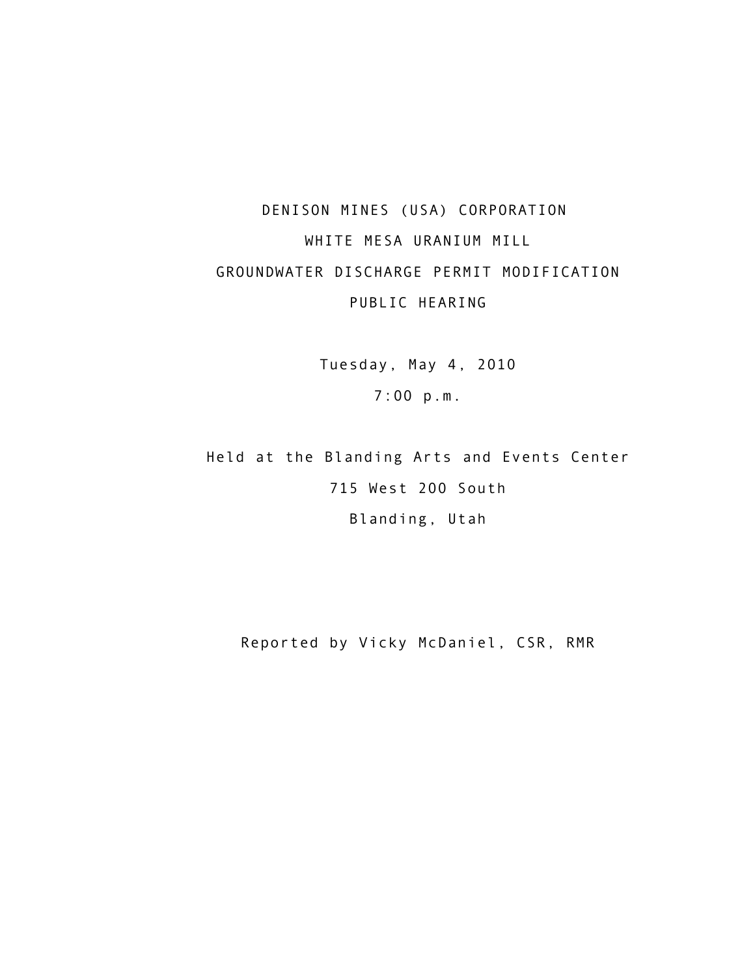## DENISON MINES (USA) CORPORATION WHITE MESA URANIUM MILL GROUNDWATER DISCHARGE PERMIT MODIFICATION PUBLIC HEARING

Tuesday, May 4, 2010 7:00 p.m.

Held at the Blanding Arts and Events Center 715 West 200 South Blanding, Utah

Reported by Vicky McDaniel, CSR, RMR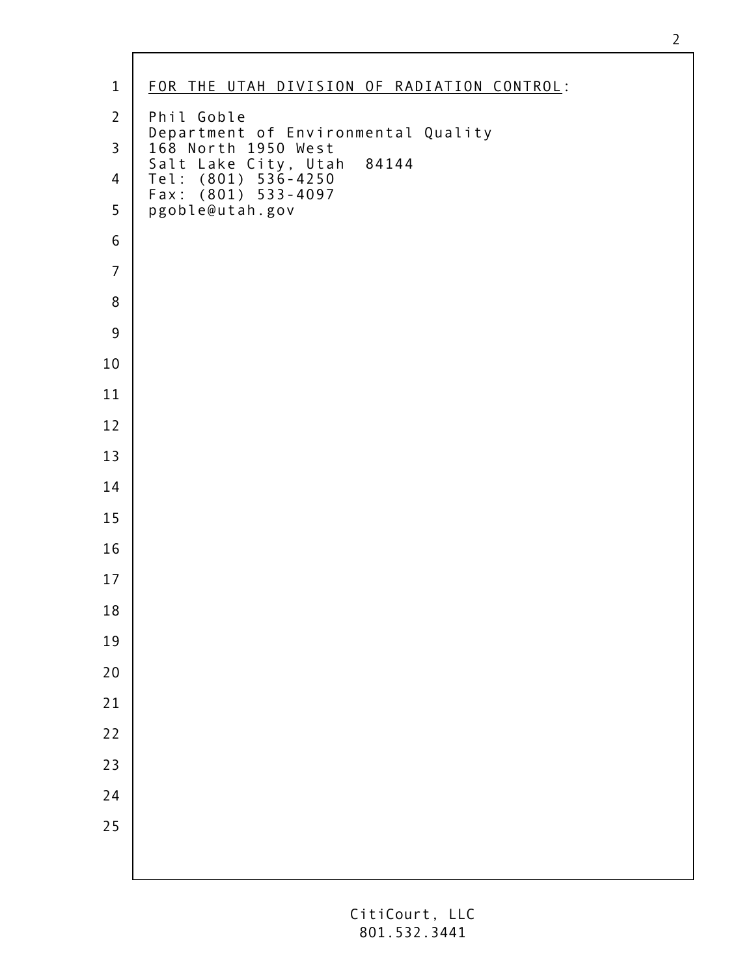| $\mathbf 1$    | FOR THE UTAH DIVISION OF RADIATION CONTROL:                         |
|----------------|---------------------------------------------------------------------|
| $\overline{2}$ | Phil Goble                                                          |
| $\overline{3}$ | Department of Environmental Quality<br>168 North 1950 West<br>84144 |
| $\overline{4}$ | Salt Lake City, Utah<br>Tel: (801) 536-4250<br>Fax: (801) 533-4097  |
| 5              | pgoble@utah.gov                                                     |
| $\mathsf 6$    |                                                                     |
| $\overline{7}$ |                                                                     |
| 8              |                                                                     |
| 9              |                                                                     |
| $10\,$         |                                                                     |
| $11\,$         |                                                                     |
| 12             |                                                                     |
| 13             |                                                                     |
| 14             |                                                                     |
| 15             |                                                                     |
| 16             |                                                                     |
| $17\,$         |                                                                     |
| 18             |                                                                     |
| 19             |                                                                     |
| 20             |                                                                     |
| 21             |                                                                     |
| $22$           |                                                                     |
| 23             |                                                                     |
| 24             |                                                                     |
| 25             |                                                                     |
|                |                                                                     |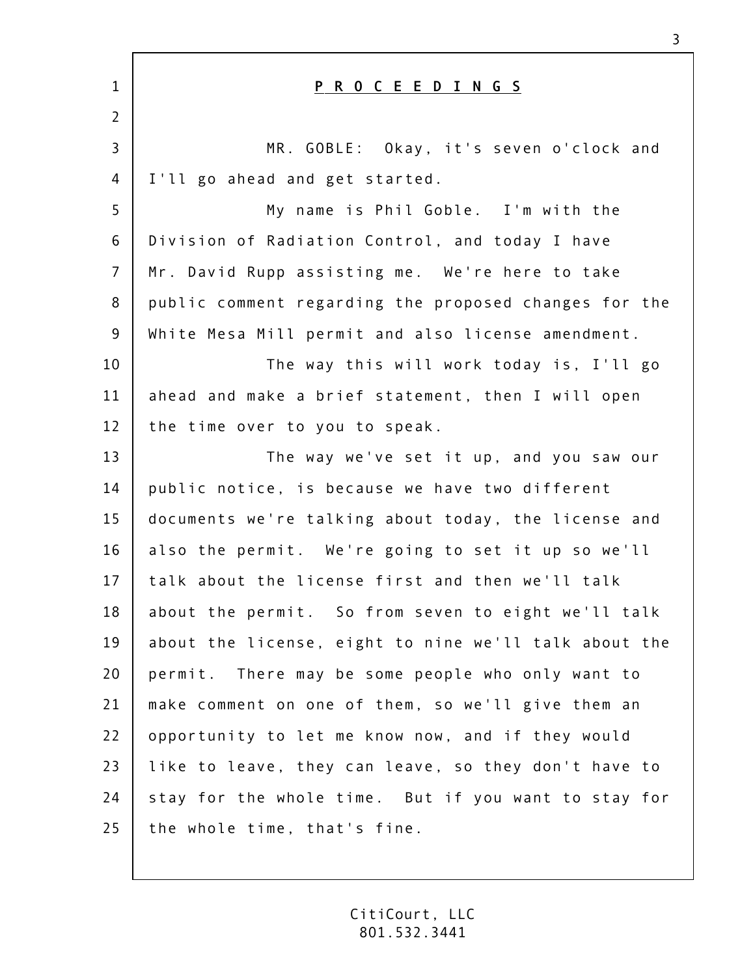| $\mathbf{1}$   | P R O C E E D I N G S                                 |
|----------------|-------------------------------------------------------|
| $\overline{2}$ |                                                       |
| $\overline{3}$ | MR. GOBLE: Okay, it's seven o'clock and               |
| 4              | I'll go ahead and get started.                        |
| 5              | My name is Phil Goble. I'm with the                   |
| 6              | Division of Radiation Control, and today I have       |
| $\overline{7}$ | Mr. David Rupp assisting me. We're here to take       |
| 8              | public comment regarding the proposed changes for the |
| 9              | White Mesa Mill permit and also license amendment.    |
| 10             | The way this will work today is, I'll go              |
| 11             | ahead and make a brief statement, then I will open    |
| 12             | the time over to you to speak.                        |
| 13             | The way we've set it up, and you saw our              |
| 14             | public notice, is because we have two different       |
| 15             | documents we're talking about today, the license and  |
| 16             | also the permit. We're going to set it up so we'll    |
| 17             | talk about the license first and then we'll talk      |
| 18             | about the permit. So from seven to eight we'll talk   |
| 19             | about the license, eight to nine we'll talk about the |
| 20             | permit. There may be some people who only want to     |
| 21             | make comment on one of them, so we'll give them an    |
| 22             | opportunity to let me know now, and if they would     |
| 23             | like to leave, they can leave, so they don't have to  |
| 24             | stay for the whole time. But if you want to stay for  |
| 25             | the whole time, that's fine.                          |

 $\mathsf{r}$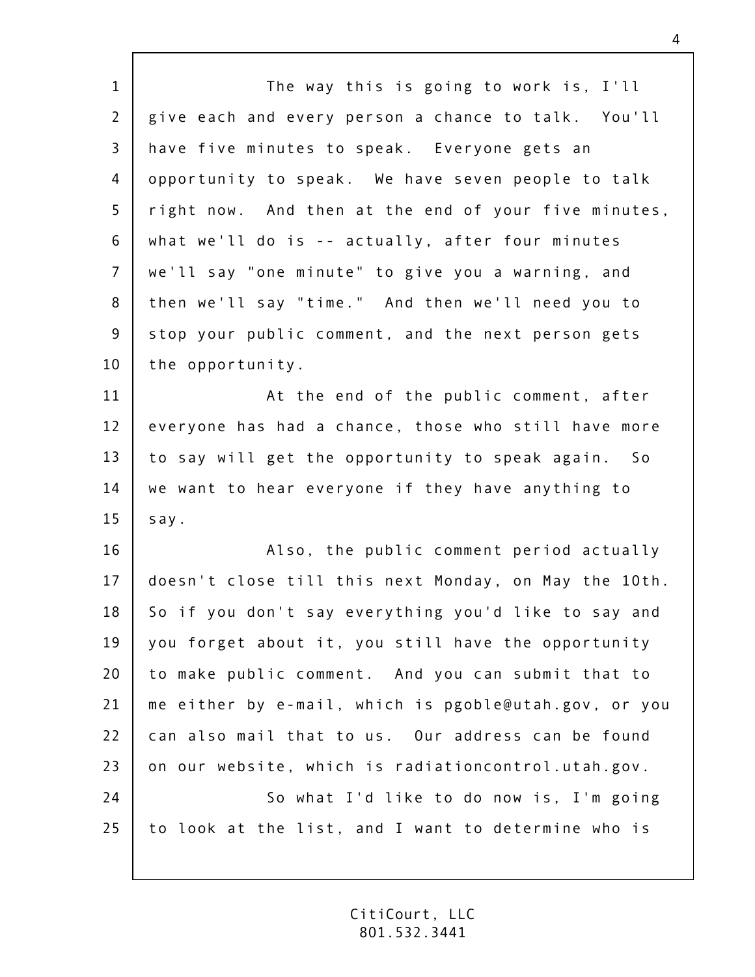| $\mathbf{1}$   | The way this is going to work is, I'll                |
|----------------|-------------------------------------------------------|
| $\overline{2}$ | give each and every person a chance to talk. You'll   |
| $\mathsf{3}$   | have five minutes to speak. Everyone gets an          |
| 4              | opportunity to speak. We have seven people to talk    |
| 5              | right now. And then at the end of your five minutes,  |
| 6              | what we'll do is -- actually, after four minutes      |
| $\overline{7}$ | we'll say "one minute" to give you a warning, and     |
| 8              | then we'll say "time." And then we'll need you to     |
| $\overline{9}$ | stop your public comment, and the next person gets    |
| 10             | the opportunity.                                      |
| 11             | At the end of the public comment, after               |
| 12             | everyone has had a chance, those who still have more  |
| 13             | to say will get the opportunity to speak again. So    |
| 14             | we want to hear everyone if they have anything to     |
| 15             | say.                                                  |
| 16             | Also, the public comment period actually              |
| 17             | doesn't close till this next Monday, on May the 10th. |
| 18             | So if you don't say everything you'd like to say and  |
| 19             | you forget about it, you still have the opportunity   |
| 20             | to make public comment. And you can submit that to    |
| 21             | me either by e-mail, which is pgoble@utah.gov, or you |
| 22             | can also mail that to us. Our address can be found    |
| 23             | on our website, which is radiationcontrol.utah.gov.   |
| 24             | So what I'd like to do now is, I'm going              |
| 25             | to look at the list, and I want to determine who is   |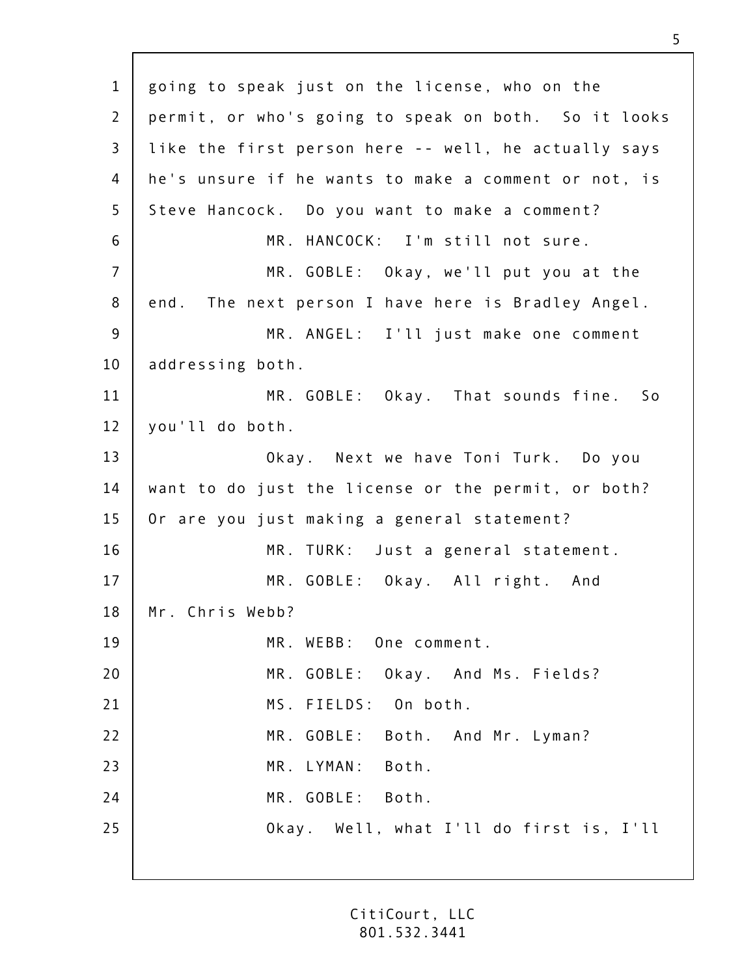1 2 3 4 5 6 7 8 9 10 11 12 13 14 15 16 17 18 19 20 21 22 23  $74$ 25 going to speak just on the license, who on the permit, or who's going to speak on both. So it looks like the first person here -- well, he actually says he's unsure if he wants to make a comment or not, is Steve Hancock. Do you want to make a comment? MR. HANCOCK: I'm still not sure. MR. GOBLE: Okay, we'll put you at the end. The next person I have here is Bradley Angel. MR. ANGEL: I'll just make one comment addressing both. MR. GOBLE: Okay. That sounds fine. So you'll do both. Okay. Next we have Toni Turk. Do you want to do just the license or the permit, or both? Or are you just making a general statement? MR. TURK: Just a general statement. MR. GOBLE: Okay. All right. And Mr. Chris Webb? MR. WEBB: One comment. MR. GOBLE: Okay. And Ms. Fields? MS. FIELDS: On both. MR. GOBLE: Both. And Mr. Lyman? MR. LYMAN: Both. MR. GOBLE: Both. Okay. Well, what I'll do first is, I'll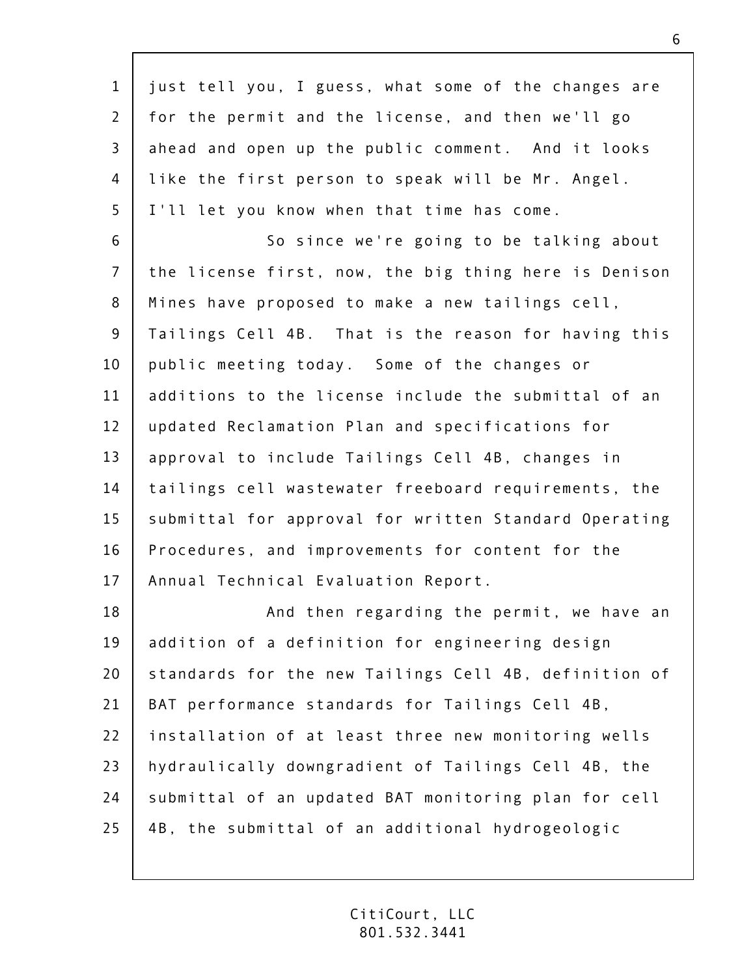| $\mathbf{1}$   | just tell you, I guess, what some of the changes are  |
|----------------|-------------------------------------------------------|
| $\overline{2}$ | for the permit and the license, and then we'll go     |
| $\overline{3}$ | ahead and open up the public comment. And it looks    |
| 4              | like the first person to speak will be Mr. Angel.     |
| 5              | I'll let you know when that time has come.            |
| 6              | So since we're going to be talking about              |
| $\overline{7}$ | the license first, now, the big thing here is Denison |
| 8              | Mines have proposed to make a new tailings cell,      |
| $\overline{9}$ | Tailings Cell 4B. That is the reason for having this  |
| 10             | public meeting today. Some of the changes or          |
| 11             | additions to the license include the submittal of an  |
| 12             | updated Reclamation Plan and specifications for       |
| 13             | approval to include Tailings Cell 4B, changes in      |
| 14             | tailings cell wastewater freeboard requirements, the  |
| 15             | submittal for approval for written Standard Operating |
| 16             | Procedures, and improvements for content for the      |
| 17             | Annual Technical Evaluation Report.                   |
| 18             | And then regarding the permit, we have an             |
| 19             | addition of a definition for engineering design       |
| 20             | standards for the new Tailings Cell 4B, definition of |
| 21             | BAT performance standards for Tailings Cell 4B,       |
| 22             | installation of at least three new monitoring wells   |
| 23             | hydraulically downgradient of Tailings Cell 4B, the   |
| 24             | submittal of an updated BAT monitoring plan for cell  |
| 25             | 4B, the submittal of an additional hydrogeologic      |
|                |                                                       |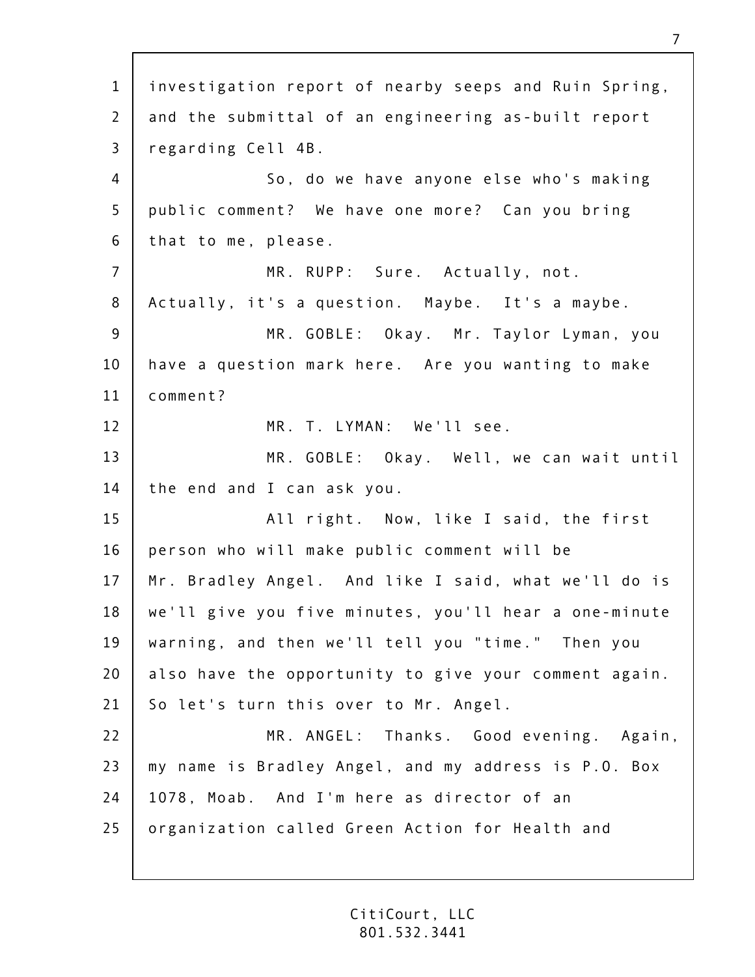1 2 3 4 5 6 7 8 9 10 11 12 13 14 15 16 17 18 19 20 21 22 23  $74$ 25 investigation report of nearby seeps and Ruin Spring, and the submittal of an engineering as-built report regarding Cell 4B. So, do we have anyone else who's making public comment? We have one more? Can you bring that to me, please. MR. RUPP: Sure. Actually, not. Actually, it's a question. Maybe. It's a maybe. MR. GOBLE: Okay. Mr. Taylor Lyman, you have a question mark here. Are you wanting to make comment? MR. T. LYMAN: We'll see. MR. GOBLE: Okay. Well, we can wait until the end and I can ask you. All right. Now, like I said, the first person who will make public comment will be Mr. Bradley Angel. And like I said, what we'll do is we'll give you five minutes, you'll hear a one-minute warning, and then we'll tell you "time." Then you also have the opportunity to give your comment again. So let's turn this over to Mr. Angel. MR. ANGEL: Thanks. Good evening. Again, my name is Bradley Angel, and my address is P.O. Box 1078, Moab. And I'm here as director of an organization called Green Action for Health and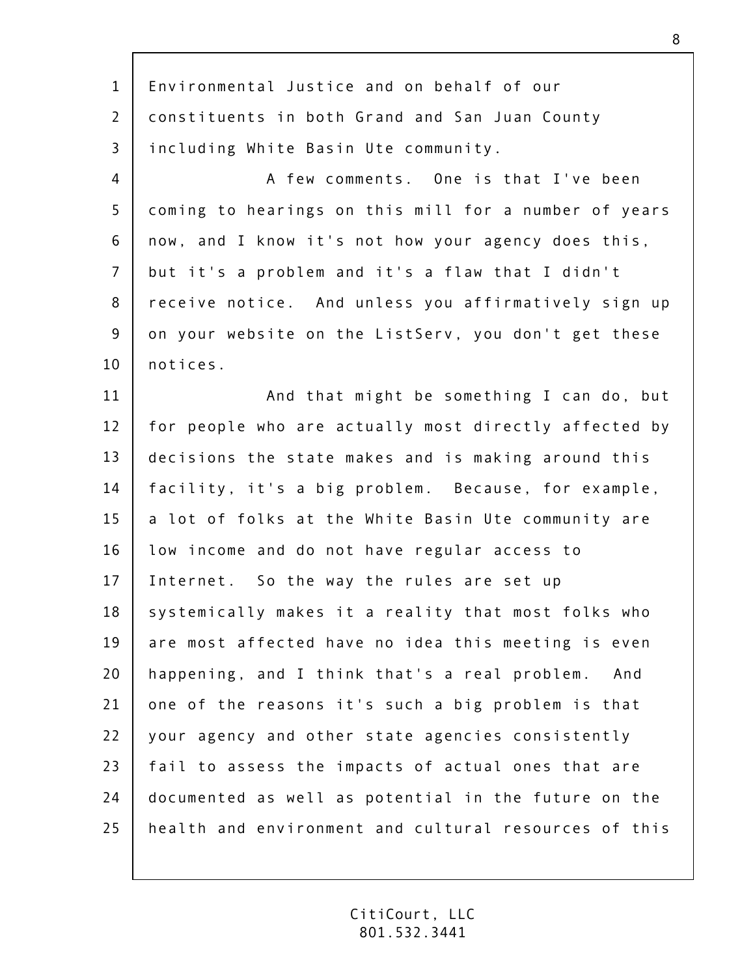| $\mathbf{1}$   | Environmental Justice and on behalf of our            |
|----------------|-------------------------------------------------------|
| $\overline{2}$ | constituents in both Grand and San Juan County        |
| $\overline{3}$ | including White Basin Ute community.                  |
| 4              | A few comments. One is that I've been                 |
| 5              | coming to hearings on this mill for a number of years |
| 6              | now, and I know it's not how your agency does this,   |
| $\overline{7}$ | but it's a problem and it's a flaw that I didn't      |
| 8              | receive notice. And unless you affirmatively sign up  |
| $\overline{9}$ | on your website on the ListServ, you don't get these  |
| 10             | notices.                                              |
| 11             | And that might be something I can do, but             |
| 12             | for people who are actually most directly affected by |
| 13             | decisions the state makes and is making around this   |
| 14             | facility, it's a big problem. Because, for example,   |
| 15             | a lot of folks at the White Basin Ute community are   |
| 16             | low income and do not have regular access to          |
| 17             | Internet. So the way the rules are set up             |
| 18             | systemically makes it a reality that most folks who   |
| 19             | are most affected have no idea this meeting is even   |
| 20             | happening, and I think that's a real problem. And     |
| 21             | one of the reasons it's such a big problem is that    |
| 22             | your agency and other state agencies consistently     |
| 23             | fail to assess the impacts of actual ones that are    |
| 24             | documented as well as potential in the future on the  |
| 25             | health and environment and cultural resources of this |
|                |                                                       |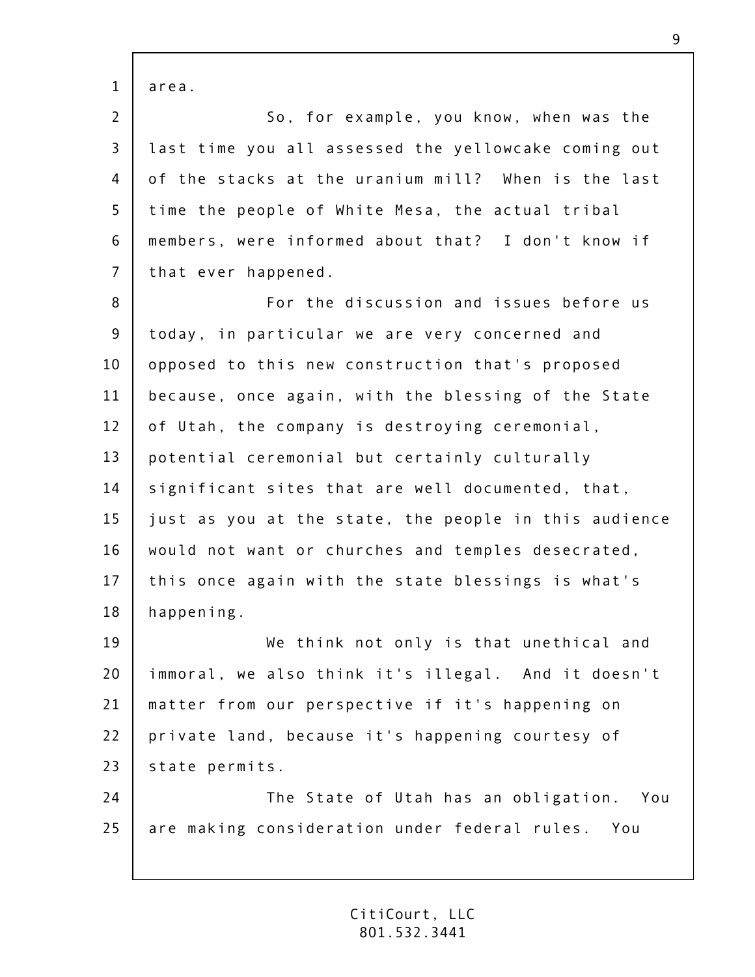1 2 3 4 5 6 7 8 9 10 11 12 13 14 15 16 17 18 19 20 21 22 23  $74$ 25 area. So, for example, you know, when was the last time you all assessed the yellowcake coming out of the stacks at the uranium mill? When is the last time the people of White Mesa, the actual tribal members, were informed about that? I don't know if that ever happened. For the discussion and issues before us today, in particular we are very concerned and opposed to this new construction that's proposed because, once again, with the blessing of the State of Utah, the company is destroying ceremonial, potential ceremonial but certainly culturally significant sites that are well documented, that, just as you at the state, the people in this audience would not want or churches and temples desecrated, this once again with the state blessings is what's happening. We think not only is that unethical and immoral, we also think it's illegal. And it doesn't matter from our perspective if it's happening on private land, because it's happening courtesy of state permits. The State of Utah has an obligation. You are making consideration under federal rules. You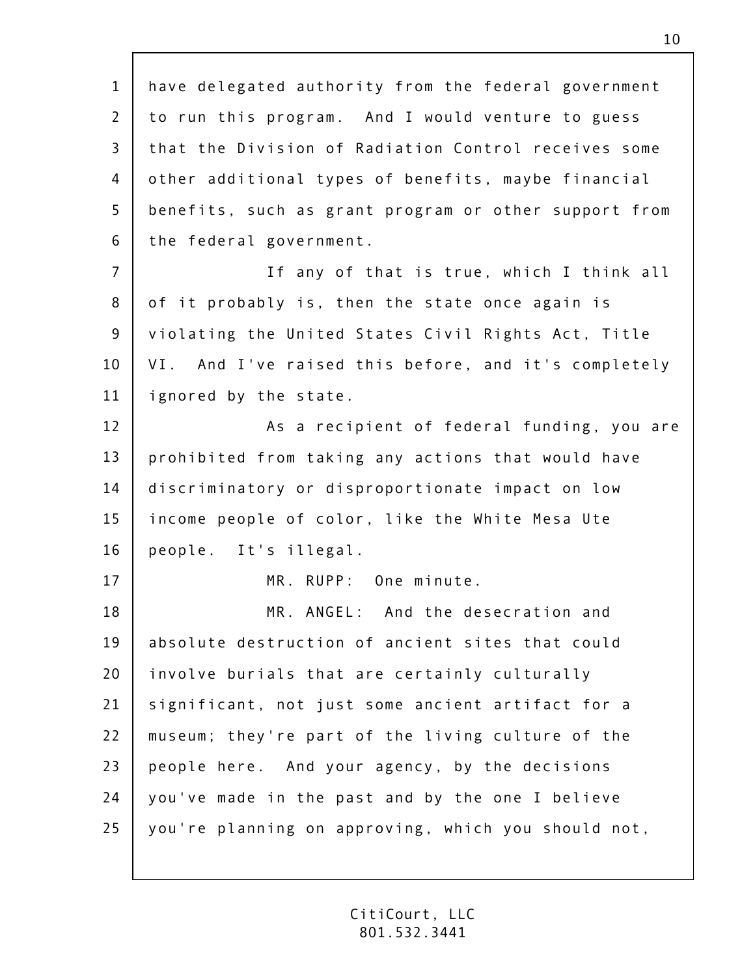1 2 3 4 5 6 7 8 9 10 11 12 13 14 15 16 17 18 19 20 21 22 23  $74$ 25 have delegated authority from the federal government to run this program. And I would venture to guess that the Division of Radiation Control receives some other additional types of benefits, maybe financial benefits, such as grant program or other support from the federal government. If any of that is true, which I think all of it probably is, then the state once again is violating the United States Civil Rights Act, Title VI. And I've raised this before, and it's completely ignored by the state. As a recipient of federal funding, you are prohibited from taking any actions that would have discriminatory or disproportionate impact on low income people of color, like the White Mesa Ute people. It's illegal. MR. RUPP: One minute. MR. ANGEL: And the desecration and absolute destruction of ancient sites that could involve burials that are certainly culturally significant, not just some ancient artifact for a museum; they're part of the living culture of the people here. And your agency, by the decisions you've made in the past and by the one I believe you're planning on approving, which you should not,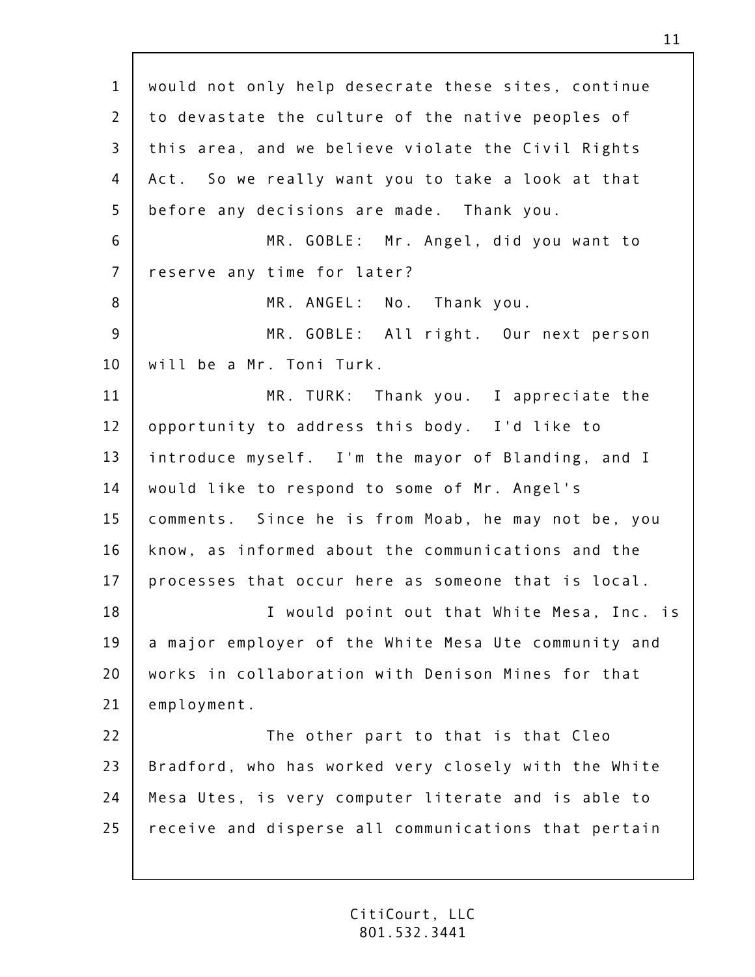1 2 3 4 5 6 7 8 9 10 11 12 13 14 15 16 17 18 19 20 21 22 23  $74$ 25 would not only help desecrate these sites, continue to devastate the culture of the native peoples of this area, and we believe violate the Civil Rights Act. So we really want you to take a look at that before any decisions are made. Thank you. MR. GOBLE: Mr. Angel, did you want to reserve any time for later? MR. ANGEL: No. Thank you. MR. GOBLE: All right. Our next person will be a Mr. Toni Turk. MR. TURK: Thank you. I appreciate the opportunity to address this body. I'd like to introduce myself. I'm the mayor of Blanding, and I would like to respond to some of Mr. Angel's comments. Since he is from Moab, he may not be, you know, as informed about the communications and the processes that occur here as someone that is local. I would point out that White Mesa, Inc. is a major employer of the White Mesa Ute community and works in collaboration with Denison Mines for that employment. The other part to that is that Cleo Bradford, who has worked very closely with the White Mesa Utes, is very computer literate and is able to receive and disperse all communications that pertain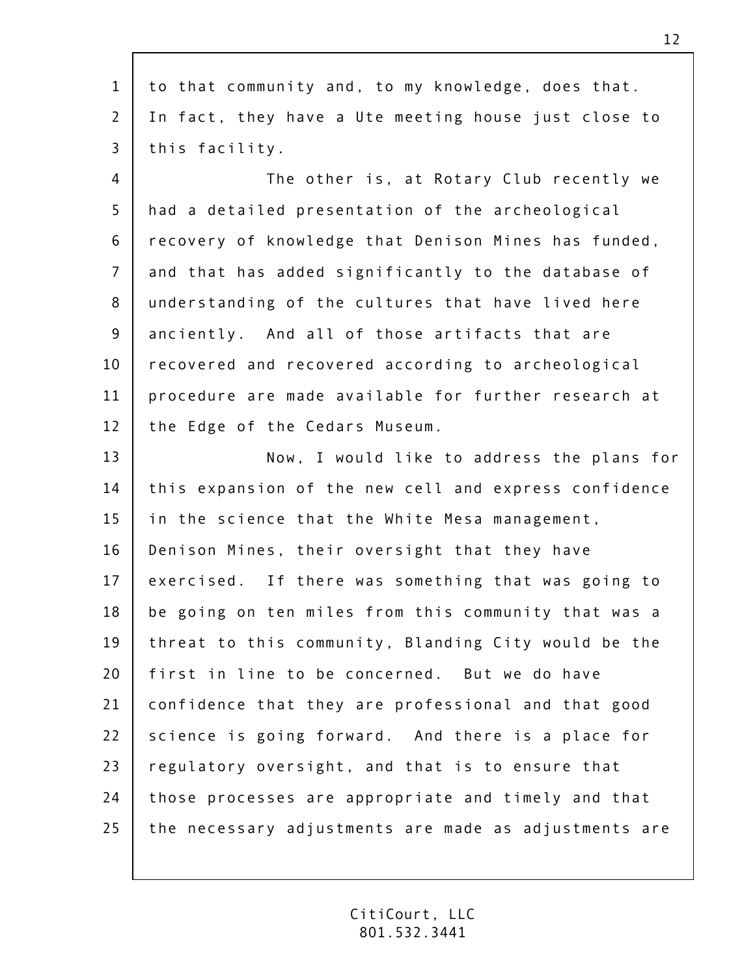| $\mathbf{1}$   | to that community and, to my knowledge, does that.    |
|----------------|-------------------------------------------------------|
| 2              | In fact, they have a Ute meeting house just close to  |
| 3              | this facility.                                        |
| 4              | The other is, at Rotary Club recently we              |
| 5              | had a detailed presentation of the archeological      |
| 6              | recovery of knowledge that Denison Mines has funded,  |
| $\overline{7}$ | and that has added significantly to the database of   |
| 8              | understanding of the cultures that have lived here    |
| 9              | anciently. And all of those artifacts that are        |
| 10             | recovered and recovered according to archeological    |
| 11             | procedure are made available for further research at  |
| 12             | the Edge of the Cedars Museum.                        |
| 13             | Now, I would like to address the plans for            |
| 14             | this expansion of the new cell and express confidence |
| 15             | in the science that the White Mesa management,        |
| 16             | Denison Mines, their oversight that they have         |
| 17             | exercised. If there was something that was going to   |
| 18             | be going on ten miles from this community that was a  |
| 19             | threat to this community, Blanding City would be the  |
| 20             | first in line to be concerned. But we do have         |
| 21             | confidence that they are professional and that good   |
| 22             | science is going forward. And there is a place for    |
| 23             | regulatory oversight, and that is to ensure that      |
| 24             | those processes are appropriate and timely and that   |
| 25             | the necessary adjustments are made as adjustments are |
|                |                                                       |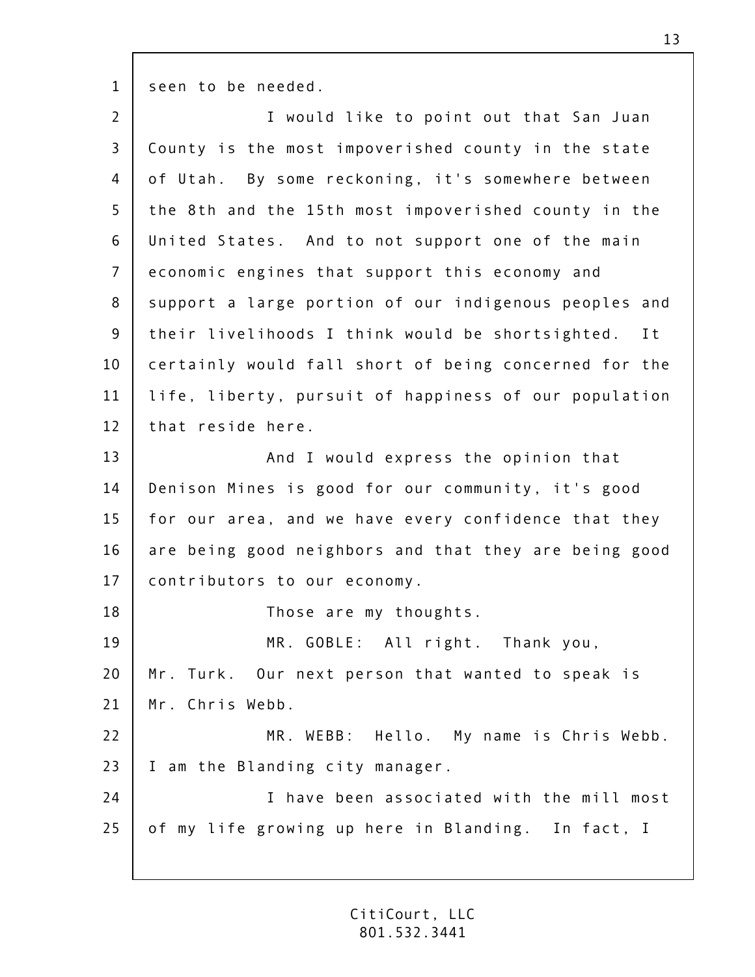1 seen to be needed.

| $\overline{2}$ | I would like to point out that San Juan                |
|----------------|--------------------------------------------------------|
| $\mathsf{3}$   | County is the most impoverished county in the state    |
| 4              | of Utah. By some reckoning, it's somewhere between     |
| 5              | the 8th and the 15th most impoverished county in the   |
| 6              | United States. And to not support one of the main      |
| $\overline{7}$ | economic engines that support this economy and         |
| 8              | support a large portion of our indigenous peoples and  |
| 9              | their livelihoods I think would be shortsighted.<br>It |
| 10             | certainly would fall short of being concerned for the  |
| 11             | life, liberty, pursuit of happiness of our population  |
| 12             | that reside here.                                      |
| 13             | And I would express the opinion that                   |
| 14             | Denison Mines is good for our community, it's good     |
| 15             | for our area, and we have every confidence that they   |
| 16             | are being good neighbors and that they are being good  |
| 17             | contributors to our economy.                           |
| 18             | Those are my thoughts.                                 |
| 19             | MR. GOBLE: All right. Thank you,                       |
| 20             | Mr. Turk. Our next person that wanted to speak is      |
| 21             | Mr. Chris Webb.                                        |
| 22             | MR. WEBB: Hello. My name is Chris Webb.                |
| 23             | I am the Blanding city manager.                        |
| 24             | I have been associated with the mill most              |
| 25             | of my life growing up here in Blanding. In fact, I     |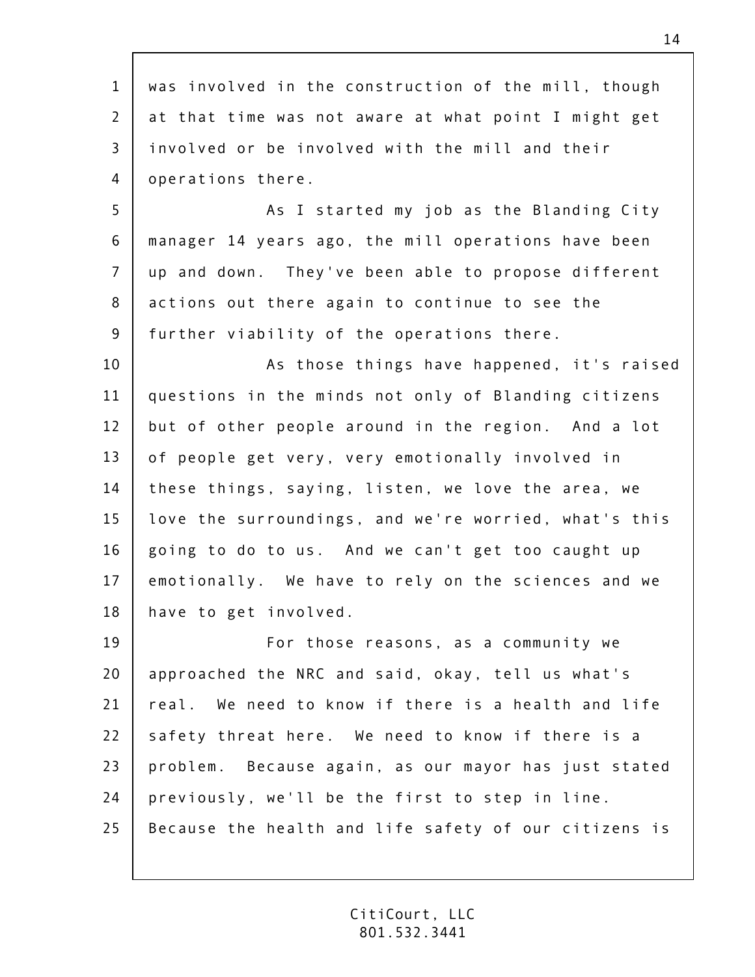1 2 3 4 5 6 7 8 9 10 11 12 13 14 15 16 17 18 19 20 21 22 23  $74$ 25 was involved in the construction of the mill, though at that time was not aware at what point I might get involved or be involved with the mill and their operations there. As I started my job as the Blanding City manager 14 years ago, the mill operations have been up and down. They've been able to propose different actions out there again to continue to see the further viability of the operations there. As those things have happened, it's raised questions in the minds not only of Blanding citizens but of other people around in the region. And a lot of people get very, very emotionally involved in these things, saying, listen, we love the area, we love the surroundings, and we're worried, what's this going to do to us. And we can't get too caught up emotionally. We have to rely on the sciences and we have to get involved. For those reasons, as a community we approached the NRC and said, okay, tell us what's real. We need to know if there is a health and life safety threat here. We need to know if there is a problem. Because again, as our mayor has just stated previously, we'll be the first to step in line. Because the health and life safety of our citizens is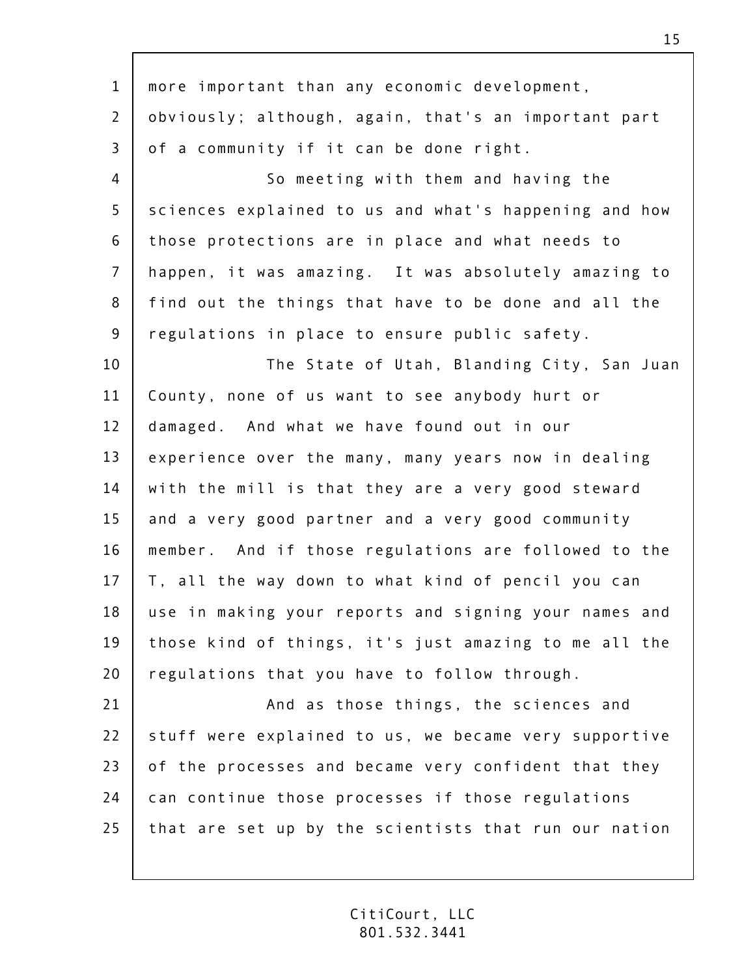| $\mathbf{1}$   | more important than any economic development,         |
|----------------|-------------------------------------------------------|
| $\overline{2}$ | obviously; although, again, that's an important part  |
| $\overline{3}$ | of a community if it can be done right.               |
| 4              | So meeting with them and having the                   |
| 5              | sciences explained to us and what's happening and how |
| 6              | those protections are in place and what needs to      |
| $\overline{7}$ | happen, it was amazing. It was absolutely amazing to  |
| 8              | find out the things that have to be done and all the  |
| $\overline{9}$ | regulations in place to ensure public safety.         |
| 10             | The State of Utah, Blanding City, San Juan            |
| 11             | County, none of us want to see anybody hurt or        |
| 12             | damaged. And what we have found out in our            |
| 13             | experience over the many, many years now in dealing   |
| 14             | with the mill is that they are a very good steward    |
| 15             | and a very good partner and a very good community     |
| 16             | member. And if those regulations are followed to the  |
| 17             | T, all the way down to what kind of pencil you can    |
| 18             | use in making your reports and signing your names and |
| 19             | those kind of things, it's just amazing to me all the |
| 20             | regulations that you have to follow through.          |
| 21             | And as those things, the sciences and                 |
| 22             | stuff were explained to us, we became very supportive |
| 23             | of the processes and became very confident that they  |
| 24             | can continue those processes if those regulations     |
| 25             | that are set up by the scientists that run our nation |
|                |                                                       |

 $\Gamma$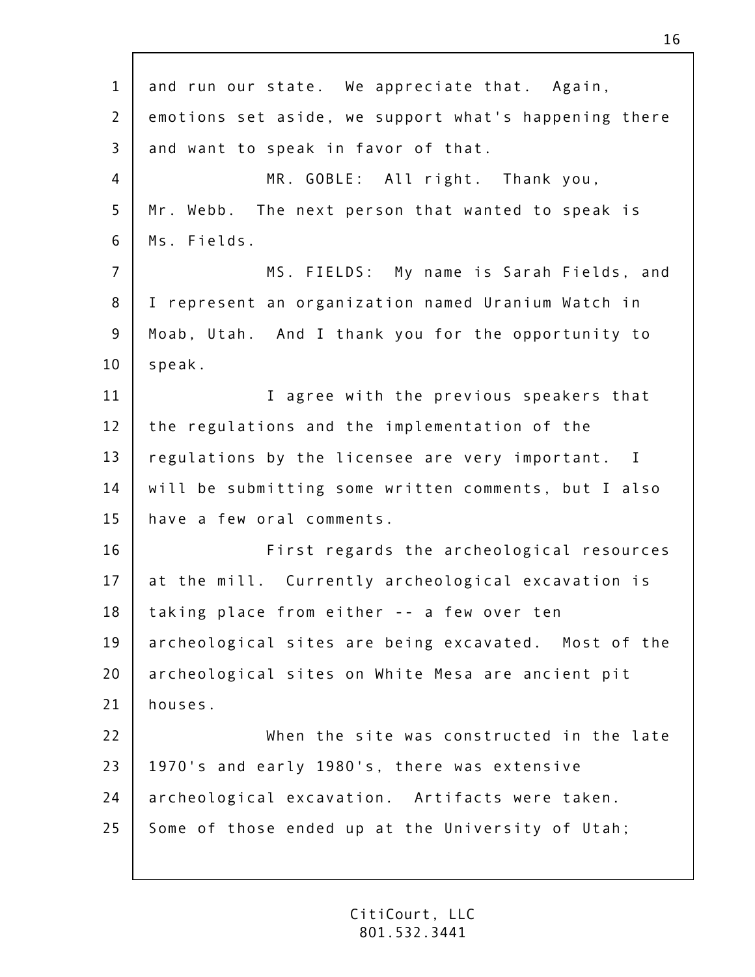1 2 3 4 5 6 7 8 9 10 11 12 13 14 15 16 17 18 19 20 21 22 23  $74$ 25 and run our state. We appreciate that. Again, emotions set aside, we support what's happening there and want to speak in favor of that. MR. GOBLE: All right. Thank you, Mr. Webb. The next person that wanted to speak is Ms. Fields. MS. FIELDS: My name is Sarah Fields, and I represent an organization named Uranium Watch in Moab, Utah. And I thank you for the opportunity to speak. I agree with the previous speakers that the regulations and the implementation of the regulations by the licensee are very important. I will be submitting some written comments, but I also have a few oral comments. First regards the archeological resources at the mill. Currently archeological excavation is taking place from either -- a few over ten archeological sites are being excavated. Most of the archeological sites on White Mesa are ancient pit houses. When the site was constructed in the late 1970's and early 1980's, there was extensive archeological excavation. Artifacts were taken. Some of those ended up at the University of Utah;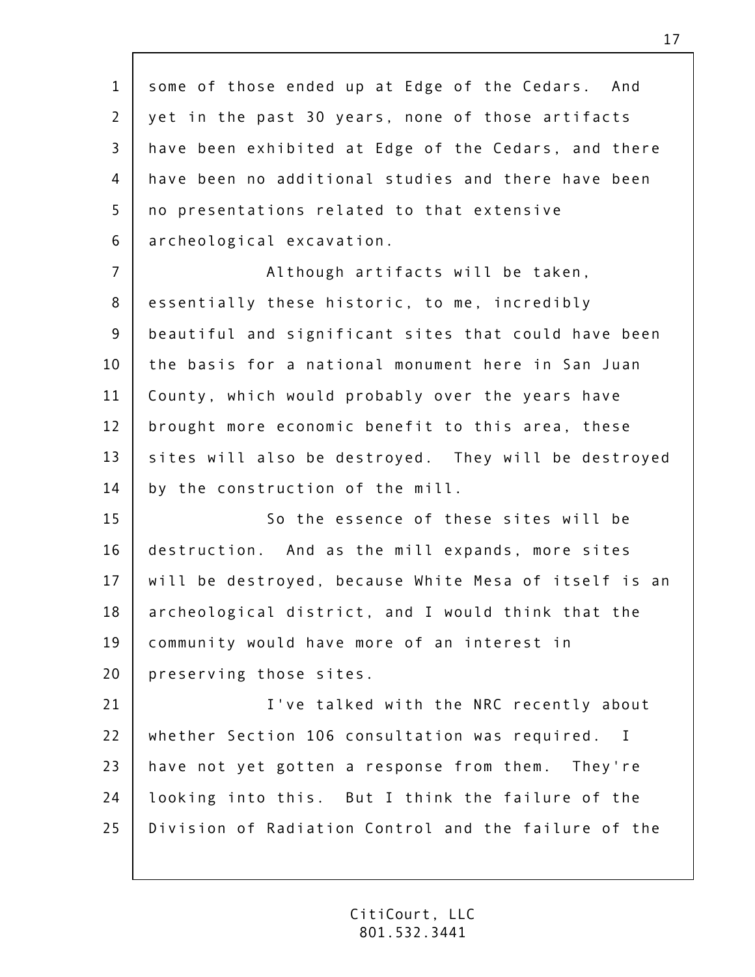1 2 3 4 5 6 7 8 9 10 11 12 13 14 15 16 17 18 19 20 21 22 23  $74$ 25 some of those ended up at Edge of the Cedars. And yet in the past 30 years, none of those artifacts have been exhibited at Edge of the Cedars, and there have been no additional studies and there have been no presentations related to that extensive archeological excavation. Although artifacts will be taken, essentially these historic, to me, incredibly beautiful and significant sites that could have been the basis for a national monument here in San Juan County, which would probably over the years have brought more economic benefit to this area, these sites will also be destroyed. They will be destroyed by the construction of the mill. So the essence of these sites will be destruction. And as the mill expands, more sites will be destroyed, because White Mesa of itself is an archeological district, and I would think that the community would have more of an interest in preserving those sites. I've talked with the NRC recently about whether Section 106 consultation was required. I have not yet gotten a response from them. They're looking into this. But I think the failure of the Division of Radiation Control and the failure of the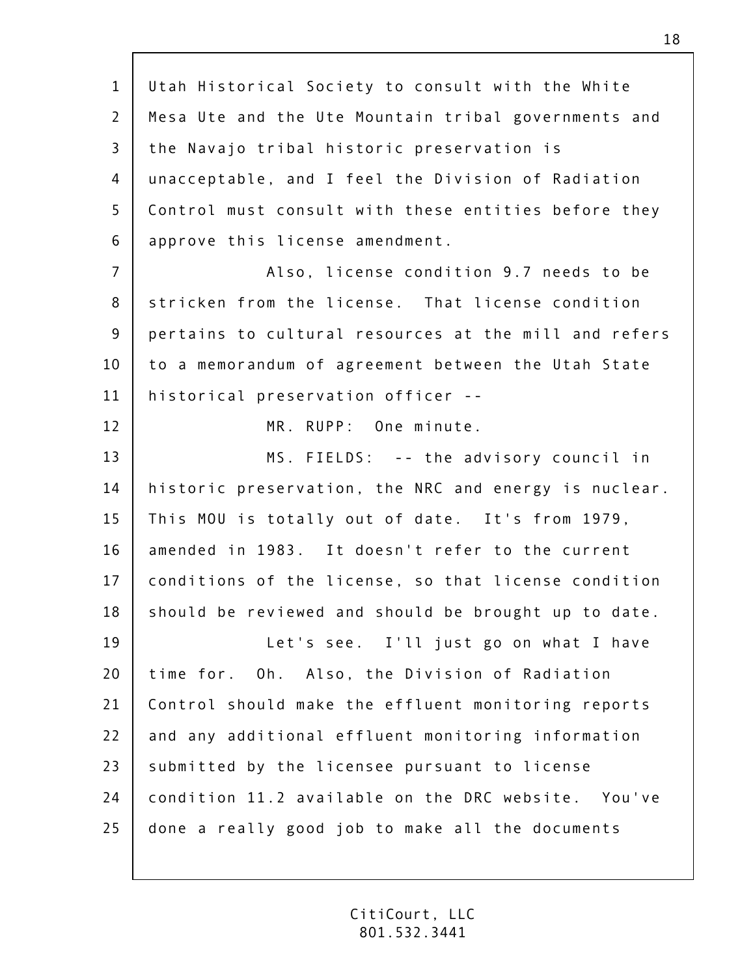1 2 3 4 5 6 7 8 9 10 11 12 13 14 15 16 17 18 19 20 21 22 23  $74$ 25 Utah Historical Society to consult with the White Mesa Ute and the Ute Mountain tribal governments and the Navajo tribal historic preservation is unacceptable, and I feel the Division of Radiation Control must consult with these entities before they approve this license amendment. Also, license condition 9.7 needs to be stricken from the license. That license condition pertains to cultural resources at the mill and refers to a memorandum of agreement between the Utah State historical preservation officer -- MR. RUPP: One minute. MS. FIELDS: -- the advisory council in historic preservation, the NRC and energy is nuclear. This MOU is totally out of date. It's from 1979, amended in 1983. It doesn't refer to the current conditions of the license, so that license condition should be reviewed and should be brought up to date. Let's see. I'll just go on what I have time for. Oh. Also, the Division of Radiation Control should make the effluent monitoring reports and any additional effluent monitoring information submitted by the licensee pursuant to license condition 11.2 available on the DRC website. You've done a really good job to make all the documents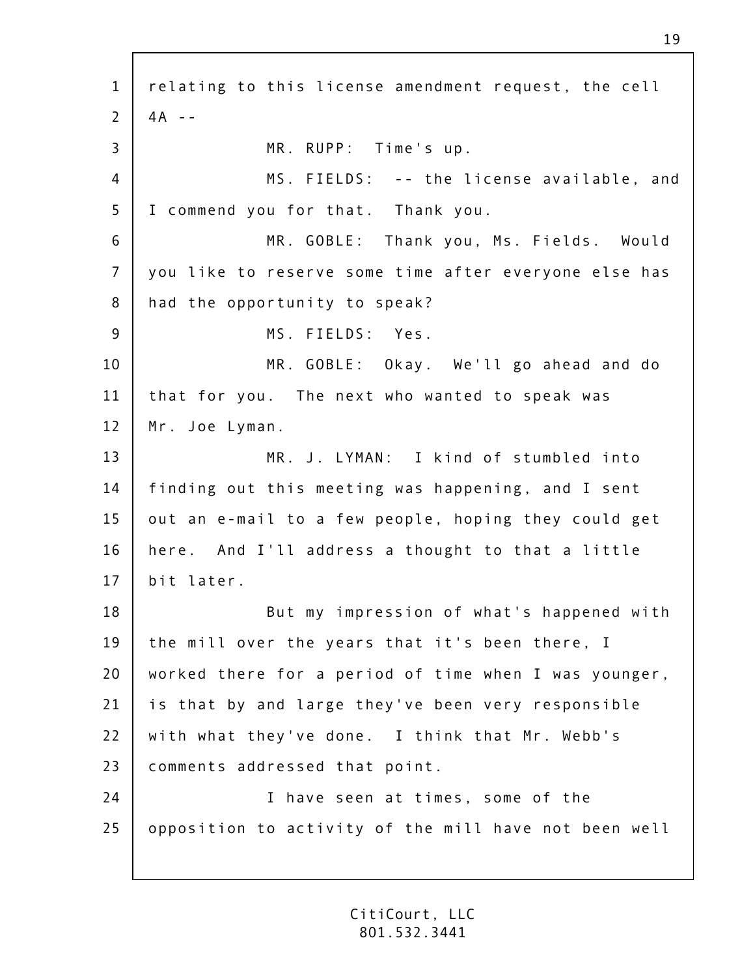1 2 3 4 5 6 7 8 9 10 11 12 13 14 15 16 17 18 19 20 21 22 23  $74$ 25 relating to this license amendment request, the cell  $4A - -$ MR. RUPP: Time's up. MS. FIELDS: -- the license available, and I commend you for that. Thank you. MR. GOBLE: Thank you, Ms. Fields. Would you like to reserve some time after everyone else has had the opportunity to speak? MS. FIELDS: Yes. MR. GOBLE: Okay. We'll go ahead and do that for you. The next who wanted to speak was Mr. Joe Lyman. MR. J. LYMAN: I kind of stumbled into finding out this meeting was happening, and I sent out an e-mail to a few people, hoping they could get here. And I'll address a thought to that a little bit later. But my impression of what's happened with the mill over the years that it's been there, I worked there for a period of time when I was younger, is that by and large they've been very responsible with what they've done. I think that Mr. Webb's comments addressed that point. I have seen at times, some of the opposition to activity of the mill have not been well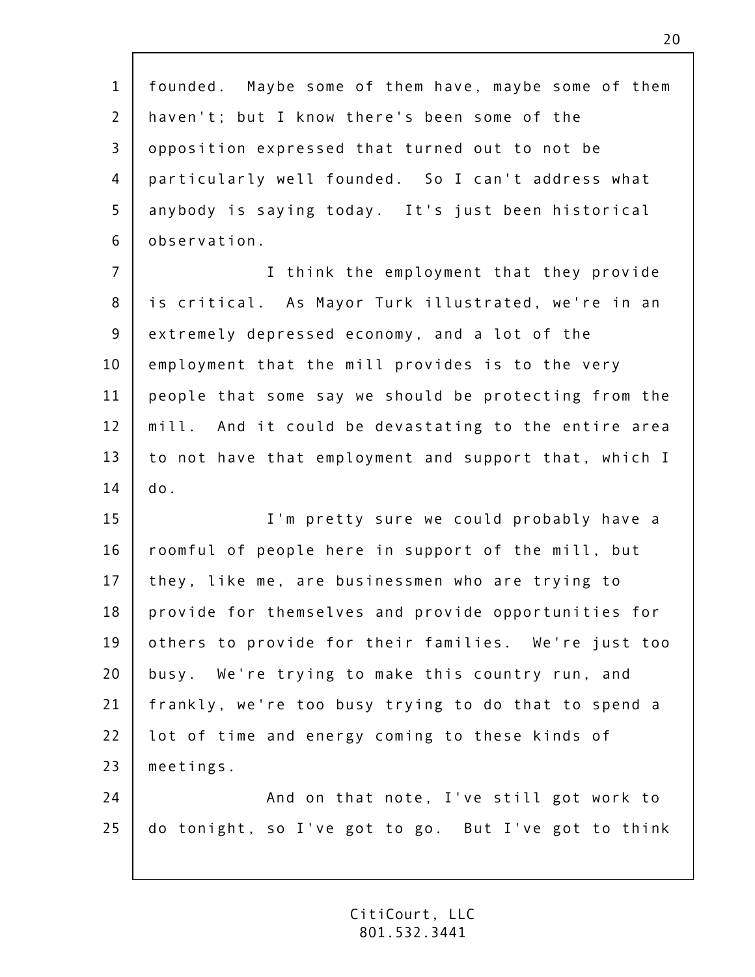| $\mathbf{1}$   | founded. Maybe some of them have, maybe some of them  |
|----------------|-------------------------------------------------------|
| $\overline{2}$ | haven't; but I know there's been some of the          |
| 3              | opposition expressed that turned out to not be        |
| 4              | particularly well founded. So I can't address what    |
| 5              | anybody is saying today. It's just been historical    |
| 6              | observation.                                          |
| $\overline{7}$ | I think the employment that they provide              |
| $\bf 8$        | is critical. As Mayor Turk illustrated, we're in an   |
| 9              | extremely depressed economy, and a lot of the         |
| 10             | employment that the mill provides is to the very      |
| 11             | people that some say we should be protecting from the |
| 12             | mill. And it could be devastating to the entire area  |
| 13             | to not have that employment and support that, which I |
| 14             | do.                                                   |
| 15             | I'm pretty sure we could probably have a              |
| 16             | roomful of people here in support of the mill, but    |
| 17             | they, like me, are businessmen who are trying to      |
| 18             | provide for themselves and provide opportunities for  |
| 19             | others to provide for their families. We're just too  |
| 20             | busy. We're trying to make this country run, and      |
| 21             | frankly, we're too busy trying to do that to spend a  |
| 22             | lot of time and energy coming to these kinds of       |
| 23             | meetings.                                             |
| 24             | And on that note, I've still got work to              |
| 25             | do tonight, so I've got to go. But I've got to think  |
|                |                                                       |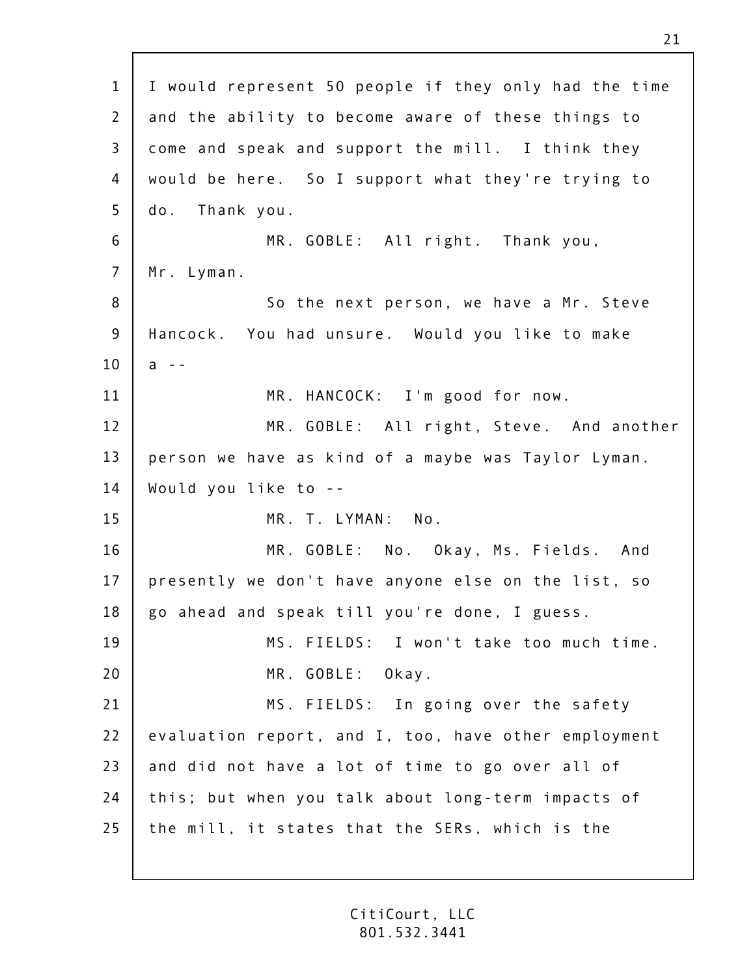| $\mathbf{1}$   | I would represent 50 people if they only had the time |
|----------------|-------------------------------------------------------|
| $\overline{2}$ | and the ability to become aware of these things to    |
| $\mathsf{3}$   | come and speak and support the mill. I think they     |
| 4              | would be here. So I support what they're trying to    |
| 5              | do. Thank you.                                        |
| 6              | MR. GOBLE: All right. Thank you,                      |
| $\overline{7}$ | Mr. Lyman.                                            |
| 8              | So the next person, we have a Mr. Steve               |
| $9$            | Hancock. You had unsure. Would you like to make       |
| 10             | $a - -$                                               |
| 11             | MR. HANCOCK: I'm good for now.                        |
| 12             | MR. GOBLE: All right, Steve. And another              |
| 13             | person we have as kind of a maybe was Taylor Lyman.   |
| 14             | Would you like to --                                  |
| 15             | MR. T. LYMAN: No.                                     |
| 16             | MR. GOBLE: No. Okay, Ms. Fields. And                  |
| 17             | presently we don't have anyone else on the list, so   |
| 18             | go ahead and speak till you're done, I guess.         |
| 19             | MS. FIELDS: I won't take too much time.               |
| 20             | MR. GOBLE: Okay.                                      |
| 21             | MS. FIELDS: In going over the safety                  |
| 22             | evaluation report, and I, too, have other employment  |
| 23             | and did not have a lot of time to go over all of      |
| 24             | this; but when you talk about long-term impacts of    |
| 25             | the mill, it states that the SERs, which is the       |
|                |                                                       |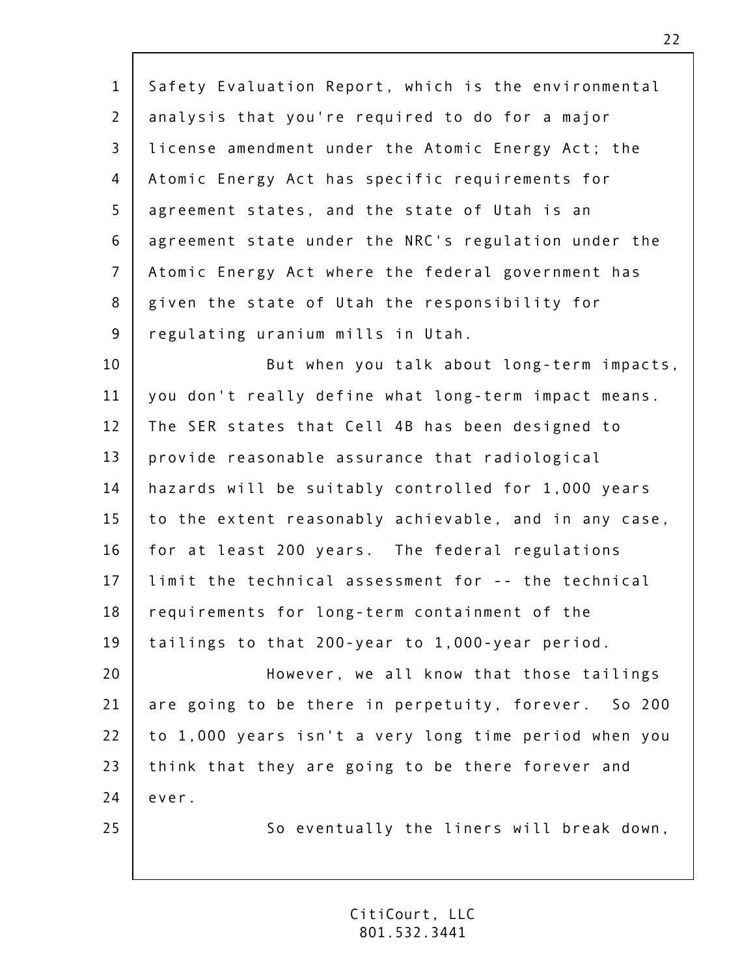| $\mathbf{1}$   | Safety Evaluation Report, which is the environmental  |
|----------------|-------------------------------------------------------|
| $\overline{2}$ | analysis that you're required to do for a major       |
| $\overline{3}$ | license amendment under the Atomic Energy Act; the    |
| 4              | Atomic Energy Act has specific requirements for       |
| 5              | agreement states, and the state of Utah is an         |
| 6              | agreement state under the NRC's regulation under the  |
| $\overline{7}$ |                                                       |
|                | Atomic Energy Act where the federal government has    |
| 8              | given the state of Utah the responsibility for        |
| $\overline{9}$ | regulating uranium mills in Utah.                     |
| 10             | But when you talk about long-term impacts,            |
| 11             | you don't really define what long-term impact means.  |
| 12             | The SER states that Cell 4B has been designed to      |
| 13             | provide reasonable assurance that radiological        |
| 14             | hazards will be suitably controlled for 1,000 years   |
| 15             | to the extent reasonably achievable, and in any case, |
| 16             | for at least 200 years. The federal regulations       |
| 17             | limit the technical assessment for -- the technical   |
| 18             | requirements for long-term containment of the         |
| 19             | tailings to that 200-year to 1,000-year period.       |
| 20             | However, we all know that those tailings              |
| 21             | are going to be there in perpetuity, forever. So 200  |
| 22             | to 1,000 years isn't a very long time period when you |
| 23             | think that they are going to be there forever and     |
| 24             | ever.                                                 |
| 25             | So eventually the liners will break down,             |
|                |                                                       |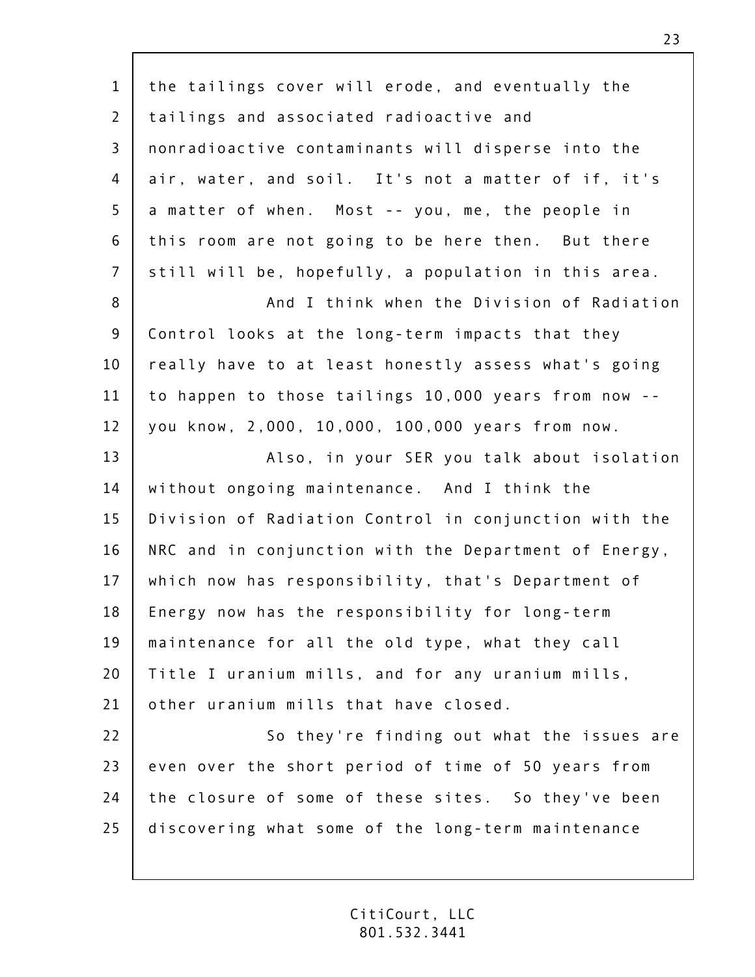| $\mathbf{1}$   | the tailings cover will erode, and eventually the     |
|----------------|-------------------------------------------------------|
| $\overline{2}$ | tailings and associated radioactive and               |
| $\overline{3}$ | nonradioactive contaminants will disperse into the    |
| 4              | air, water, and soil. It's not a matter of if, it's   |
| 5              | a matter of when. Most -- you, me, the people in      |
| 6              | this room are not going to be here then. But there    |
| $\overline{7}$ | still will be, hopefully, a population in this area.  |
| 8              | And I think when the Division of Radiation            |
| 9              | Control looks at the long-term impacts that they      |
| 10             | really have to at least honestly assess what's going  |
| 11             | to happen to those tailings 10,000 years from now --  |
| 12             | you know, 2,000, 10,000, 100,000 years from now.      |
| 13             | Also, in your SER you talk about isolation            |
| 14             | without ongoing maintenance. And I think the          |
| 15             | Division of Radiation Control in conjunction with the |
| 16             | NRC and in conjunction with the Department of Energy, |
| 17             | which now has responsibility, that's Department of    |
| 18             | Energy now has the responsibility for long-term       |
| 19             | maintenance for all the old type, what they call      |
| 20             | Title I uranium mills, and for any uranium mills,     |
| 21             | other uranium mills that have closed.                 |
| 22             | So they're finding out what the issues are            |
| 23             | even over the short period of time of 50 years from   |
| 24             | the closure of some of these sites. So they've been   |
| 25             | discovering what some of the long-term maintenance    |
|                |                                                       |

 $\sqrt{ }$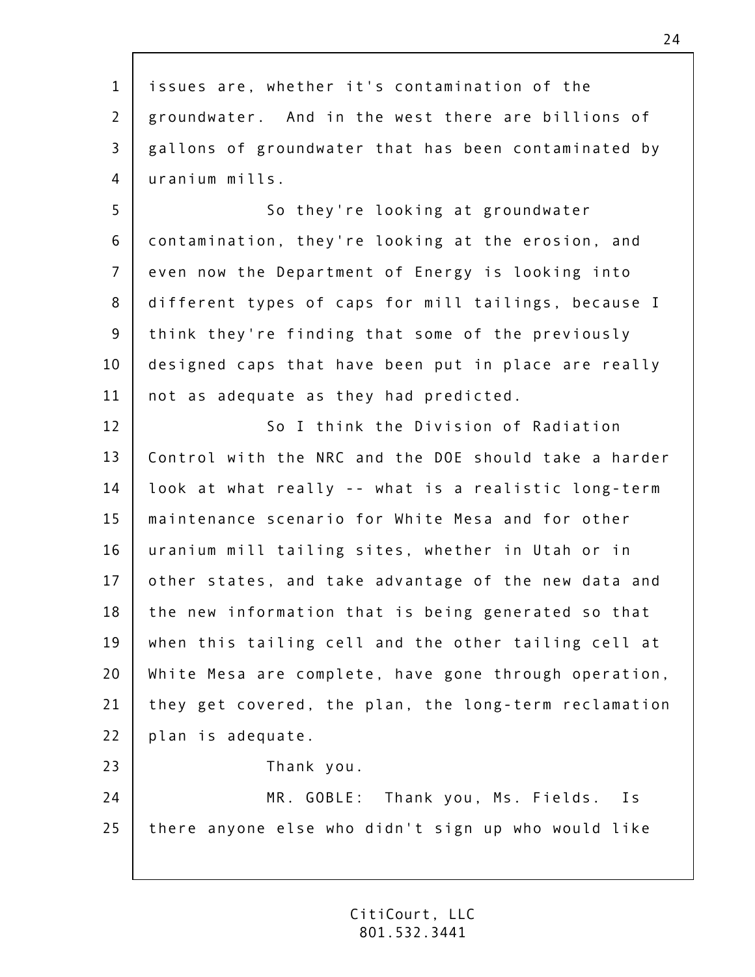| $\mathbf 1$<br>issues are, whether it's contamination of the<br>$\overline{2}$<br>3<br>uranium mills.<br>4<br>5<br>So they're looking at groundwater<br>6<br>$\overline{7}$<br>8<br>$9\,$<br>10<br>11<br>not as adequate as they had predicted.<br>12<br>So I think the Division of Radiation<br>13<br>14<br>15<br>maintenance scenario for White Mesa and for other<br>16<br>17<br>18<br>19<br>20<br>21<br>22<br>plan is adequate.<br>23<br>Thank you.<br>24<br>25 |                                                       |
|---------------------------------------------------------------------------------------------------------------------------------------------------------------------------------------------------------------------------------------------------------------------------------------------------------------------------------------------------------------------------------------------------------------------------------------------------------------------|-------------------------------------------------------|
|                                                                                                                                                                                                                                                                                                                                                                                                                                                                     |                                                       |
|                                                                                                                                                                                                                                                                                                                                                                                                                                                                     | groundwater. And in the west there are billions of    |
|                                                                                                                                                                                                                                                                                                                                                                                                                                                                     | gallons of groundwater that has been contaminated by  |
|                                                                                                                                                                                                                                                                                                                                                                                                                                                                     |                                                       |
|                                                                                                                                                                                                                                                                                                                                                                                                                                                                     |                                                       |
|                                                                                                                                                                                                                                                                                                                                                                                                                                                                     | contamination, they're looking at the erosion, and    |
|                                                                                                                                                                                                                                                                                                                                                                                                                                                                     | even now the Department of Energy is looking into     |
|                                                                                                                                                                                                                                                                                                                                                                                                                                                                     | different types of caps for mill tailings, because I  |
|                                                                                                                                                                                                                                                                                                                                                                                                                                                                     | think they're finding that some of the previously     |
|                                                                                                                                                                                                                                                                                                                                                                                                                                                                     | designed caps that have been put in place are really  |
|                                                                                                                                                                                                                                                                                                                                                                                                                                                                     |                                                       |
|                                                                                                                                                                                                                                                                                                                                                                                                                                                                     |                                                       |
|                                                                                                                                                                                                                                                                                                                                                                                                                                                                     | Control with the NRC and the DOE should take a harder |
|                                                                                                                                                                                                                                                                                                                                                                                                                                                                     | look at what really -- what is a realistic long-term  |
|                                                                                                                                                                                                                                                                                                                                                                                                                                                                     |                                                       |
|                                                                                                                                                                                                                                                                                                                                                                                                                                                                     | uranium mill tailing sites, whether in Utah or in     |
|                                                                                                                                                                                                                                                                                                                                                                                                                                                                     | other states, and take advantage of the new data and  |
|                                                                                                                                                                                                                                                                                                                                                                                                                                                                     | the new information that is being generated so that   |
|                                                                                                                                                                                                                                                                                                                                                                                                                                                                     | when this tailing cell and the other tailing cell at  |
|                                                                                                                                                                                                                                                                                                                                                                                                                                                                     | White Mesa are complete, have gone through operation, |
|                                                                                                                                                                                                                                                                                                                                                                                                                                                                     | they get covered, the plan, the long-term reclamation |
|                                                                                                                                                                                                                                                                                                                                                                                                                                                                     |                                                       |
|                                                                                                                                                                                                                                                                                                                                                                                                                                                                     |                                                       |
|                                                                                                                                                                                                                                                                                                                                                                                                                                                                     | MR. GOBLE: Thank you, Ms. Fields. Is                  |
|                                                                                                                                                                                                                                                                                                                                                                                                                                                                     | there anyone else who didn't sign up who would like   |
|                                                                                                                                                                                                                                                                                                                                                                                                                                                                     |                                                       |

 $\mathsf{r}$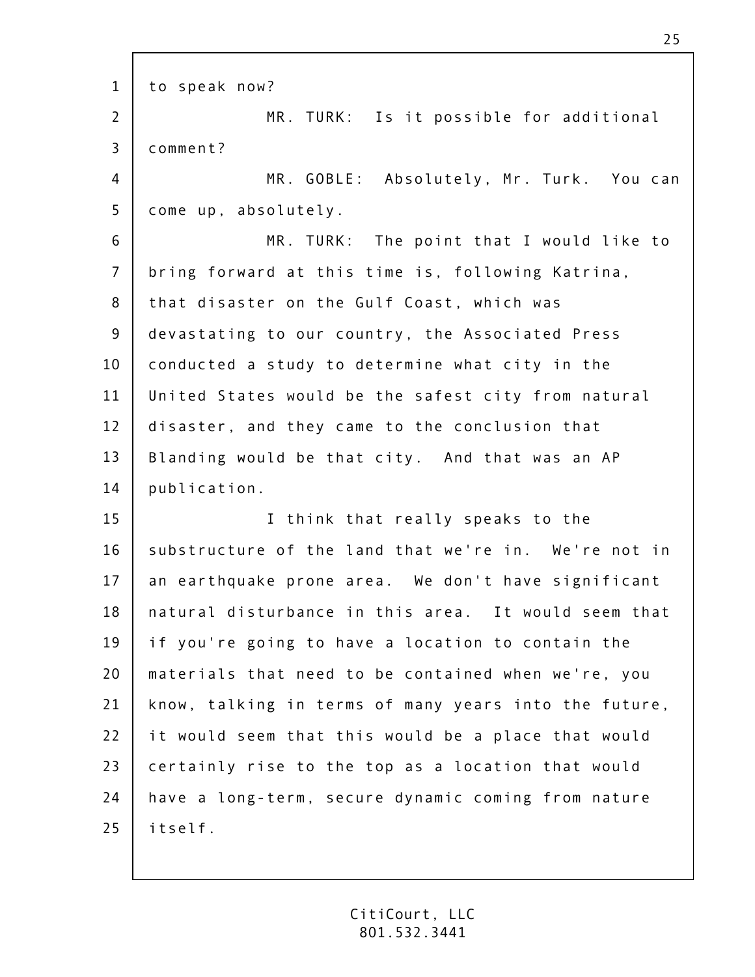1 2 3 4 5 6 7 8 9 10 11 12 13 14 15 16 17 18 19 20 21 22 23  $74$ 25 to speak now? MR. TURK: Is it possible for additional comment? MR. GOBLE: Absolutely, Mr. Turk. You can come up, absolutely. MR. TURK: The point that I would like to bring forward at this time is, following Katrina, that disaster on the Gulf Coast, which was devastating to our country, the Associated Press conducted a study to determine what city in the United States would be the safest city from natural disaster, and they came to the conclusion that Blanding would be that city. And that was an AP publication. I think that really speaks to the substructure of the land that we're in. We're not in an earthquake prone area. We don't have significant natural disturbance in this area. It would seem that if you're going to have a location to contain the materials that need to be contained when we're, you know, talking in terms of many years into the future, it would seem that this would be a place that would certainly rise to the top as a location that would have a long-term, secure dynamic coming from nature itself.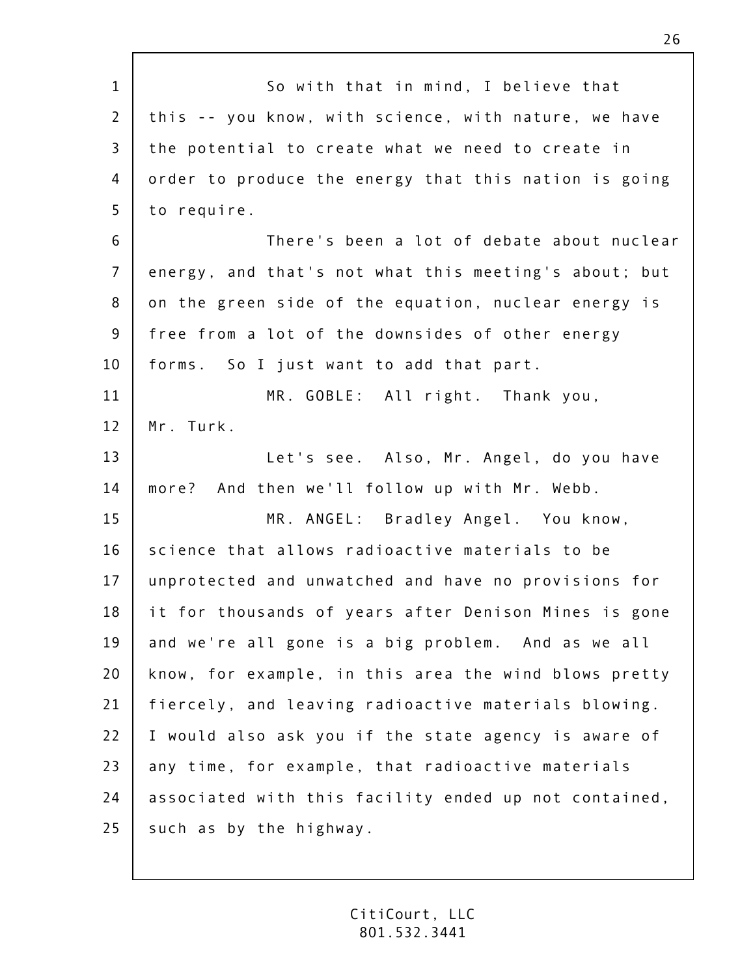| $\mathbf{1}$   | So with that in mind, I believe that                  |
|----------------|-------------------------------------------------------|
| $\overline{2}$ | this -- you know, with science, with nature, we have  |
| $\mathsf{3}$   | the potential to create what we need to create in     |
| 4              | order to produce the energy that this nation is going |
| 5              | to require.                                           |
| 6              | There's been a lot of debate about nuclear            |
| $\overline{7}$ | energy, and that's not what this meeting's about; but |
| 8              | on the green side of the equation, nuclear energy is  |
| 9              | free from a lot of the downsides of other energy      |
| 10             | forms. So I just want to add that part.               |
| 11             | MR. GOBLE: All right. Thank you,                      |
| 12             | Mr. Turk.                                             |
| 13             | Let's see. Also, Mr. Angel, do you have               |
| 14             | more? And then we'll follow up with Mr. Webb.         |
| 15             | MR. ANGEL: Bradley Angel. You know,                   |
| 16             | science that allows radioactive materials to be       |
| 17             | unprotected and unwatched and have no provisions for  |
| 18             | it for thousands of years after Denison Mines is gone |
| 19             | and we're all gone is a big problem. And as we all    |
| 20             | know, for example, in this area the wind blows pretty |
| 21             | fiercely, and leaving radioactive materials blowing.  |
| 22             | I would also ask you if the state agency is aware of  |
| 23             | any time, for example, that radioactive materials     |
| 24             | associated with this facility ended up not contained, |
| 25             | such as by the highway.                               |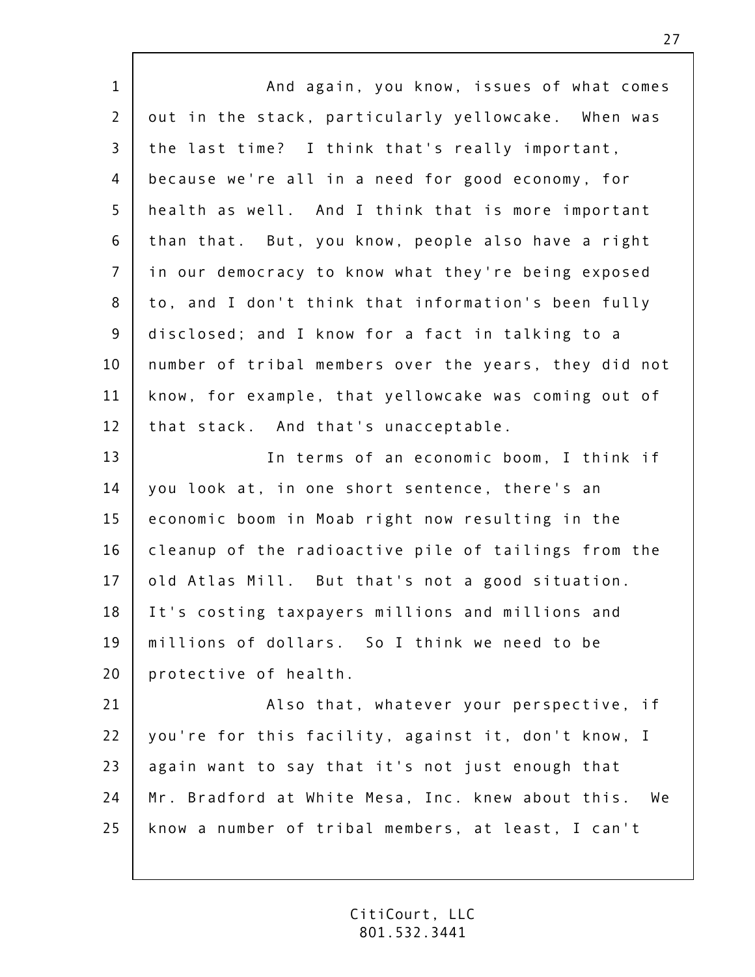| $\mathbf{1}$   | And again, you know, issues of what comes             |
|----------------|-------------------------------------------------------|
| $\overline{2}$ | out in the stack, particularly yellowcake. When was   |
| $\overline{3}$ | the last time? I think that's really important,       |
| 4              | because we're all in a need for good economy, for     |
| 5              | health as well. And I think that is more important    |
| 6              | than that. But, you know, people also have a right    |
| $\overline{7}$ | in our democracy to know what they're being exposed   |
| 8              | to, and I don't think that information's been fully   |
| $\overline{9}$ | disclosed; and I know for a fact in talking to a      |
| 10             | number of tribal members over the years, they did not |
| 11             | know, for example, that yellowcake was coming out of  |
| 12             | that stack. And that's unacceptable.                  |
| 13             | In terms of an economic boom, I think if              |
| 14             | you look at, in one short sentence, there's an        |
| 15             | economic boom in Moab right now resulting in the      |
| 16             | cleanup of the radioactive pile of tailings from the  |
| 17             | old Atlas Mill. But that's not a good situation.      |
| 18             | It's costing taxpayers millions and millions and      |
| 19             | millions of dollars. So I think we need to be         |
| 20             | protective of health.                                 |
| 21             | Also that, whatever your perspective, if              |
| 22             | you're for this facility, against it, don't know, I   |
| 23             | again want to say that it's not just enough that      |
| 24             | Mr. Bradford at White Mesa, Inc. knew about this. We  |
| 25             | know a number of tribal members, at least, I can't    |
|                |                                                       |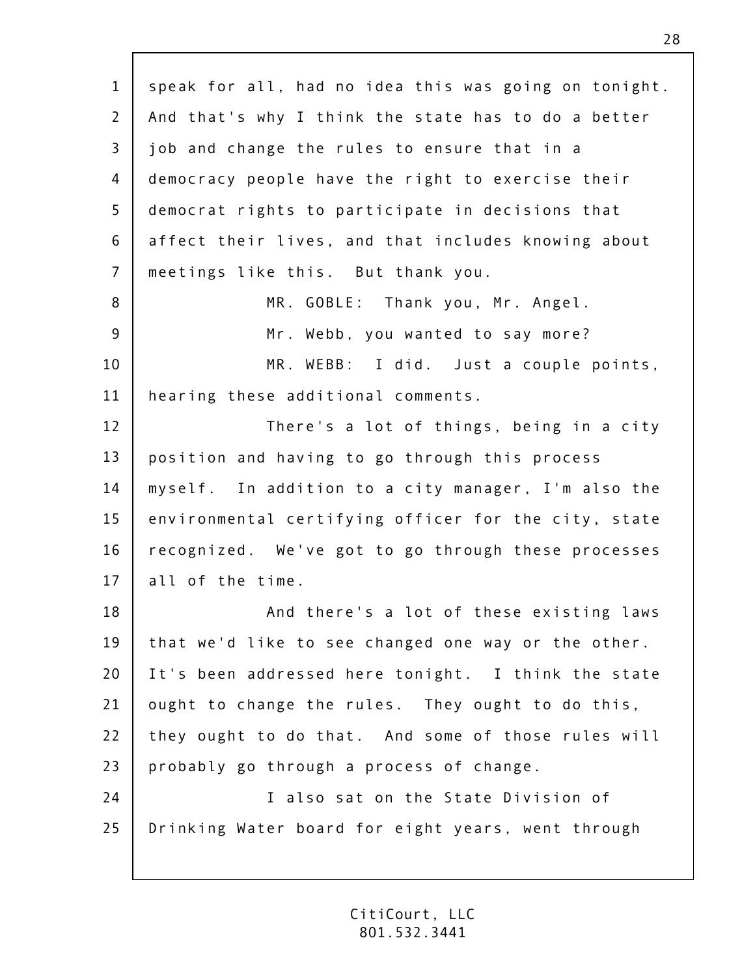1 2 3 4 5 6 7 8 9 10 11 12 13 14 15 16 17 18 19 20 21 22 23  $74$ 25 speak for all, had no idea this was going on tonight. And that's why I think the state has to do a better job and change the rules to ensure that in a democracy people have the right to exercise their democrat rights to participate in decisions that affect their lives, and that includes knowing about meetings like this. But thank you. MR. GOBLE: Thank you, Mr. Angel. Mr. Webb, you wanted to say more? MR. WEBB: I did. Just a couple points, hearing these additional comments. There's a lot of things, being in a city position and having to go through this process myself. In addition to a city manager, I'm also the environmental certifying officer for the city, state recognized. We've got to go through these processes all of the time. And there's a lot of these existing laws that we'd like to see changed one way or the other. It's been addressed here tonight. I think the state ought to change the rules. They ought to do this, they ought to do that. And some of those rules will probably go through a process of change. I also sat on the State Division of Drinking Water board for eight years, went through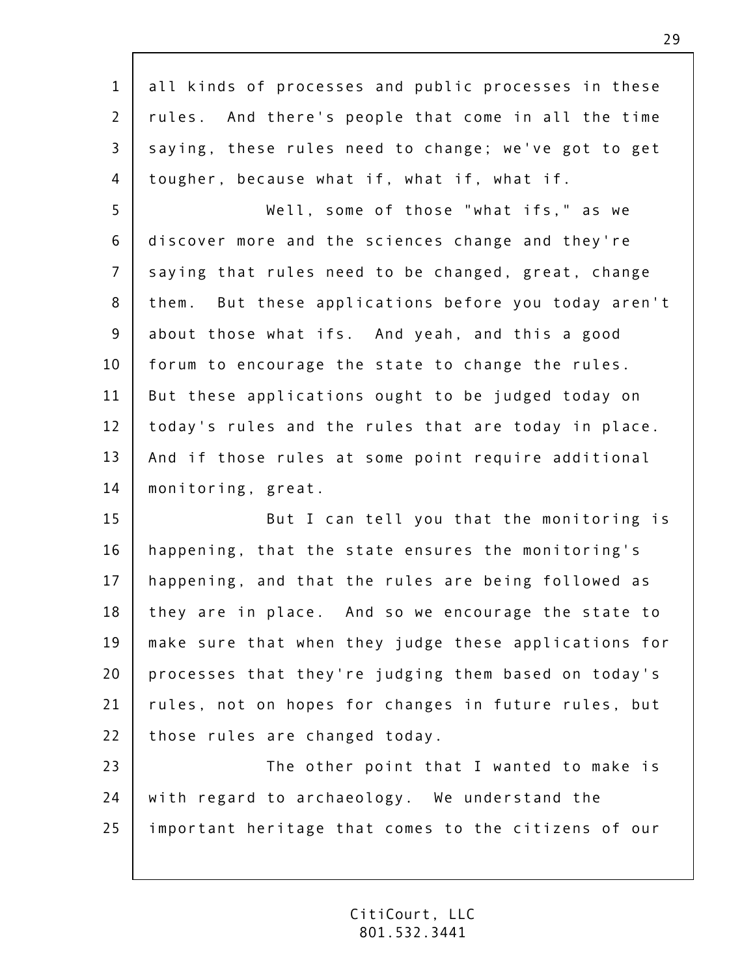| $\mathbf{1}$ | all kinds of processes and public processes in these  |
|--------------|-------------------------------------------------------|
| $\mathbf{2}$ | rules. And there's people that come in all the time   |
| 3            | saying, these rules need to change; we've got to get  |
| 4            | tougher, because what if, what if, what if.           |
| 5            | Well, some of those "what ifs," as we                 |
| 6            | discover more and the sciences change and they're     |
| 7            | saying that rules need to be changed, great, change   |
| 8            | them. But these applications before you today aren't  |
| $9\,$        | about those what ifs. And yeah, and this a good       |
| 10           | forum to encourage the state to change the rules.     |
| 11           | But these applications ought to be judged today on    |
| 12           | today's rules and the rules that are today in place.  |
| 13           | And if those rules at some point require additional   |
| 14           | monitoring, great.                                    |
| 15           | But I can tell you that the monitoring is             |
| 16           | happening, that the state ensures the monitoring's    |
| 17           | happening, and that the rules are being followed as   |
| 18           | they are in place. And so we encourage the state to   |
| 19           | make sure that when they judge these applications for |
| 20           | processes that they're judging them based on today's  |
| 21           | rules, not on hopes for changes in future rules, but  |
| 22           | those rules are changed today.                        |
| 23           | The other point that I wanted to make is              |
| 24           | with regard to archaeology. We understand the         |
| 25           | important heritage that comes to the citizens of our  |
|              |                                                       |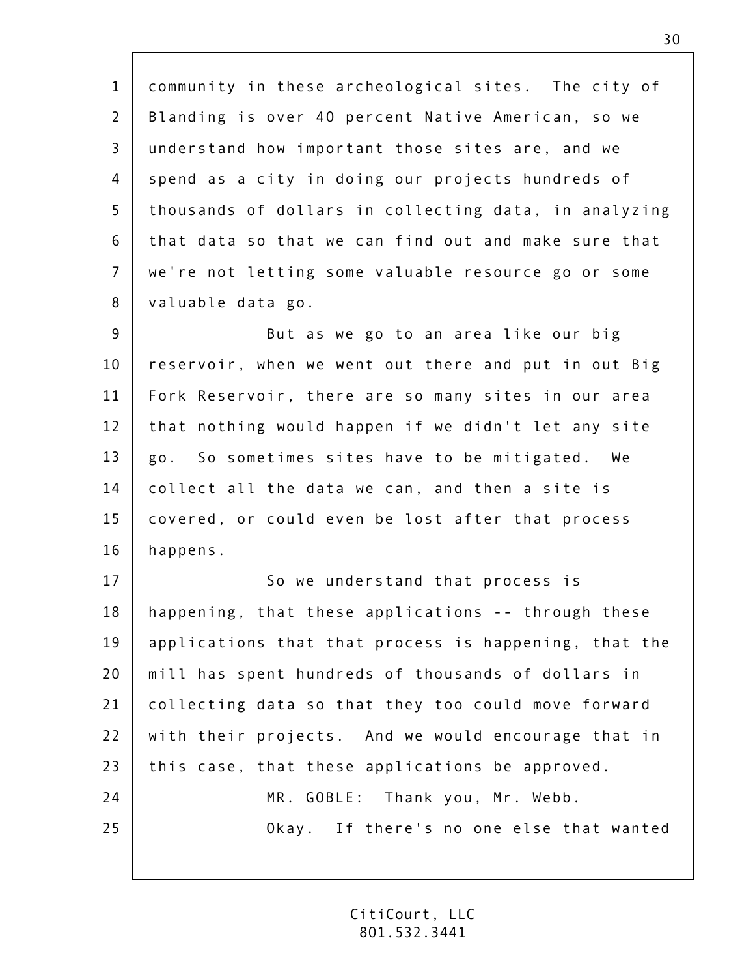| $\mathbf{1}$   | community in these archeological sites. The city of   |
|----------------|-------------------------------------------------------|
| $\overline{2}$ | Blanding is over 40 percent Native American, so we    |
| $\overline{3}$ | understand how important those sites are, and we      |
| 4              | spend as a city in doing our projects hundreds of     |
| 5              | thousands of dollars in collecting data, in analyzing |
| 6              | that data so that we can find out and make sure that  |
| $\overline{7}$ | we're not letting some valuable resource go or some   |
| 8              | valuable data go.                                     |
| $\overline{9}$ | But as we go to an area like our big                  |
| 10             | reservoir, when we went out there and put in out Big  |
| 11             | Fork Reservoir, there are so many sites in our area   |
| 12             | that nothing would happen if we didn't let any site   |
| 13             | go. So sometimes sites have to be mitigated. We       |
| 14             | collect all the data we can, and then a site is       |
| 15             | covered, or could even be lost after that process     |
| 16             | happens.                                              |
| 17             | So we understand that process is                      |
| 18             | happening, that these applications -- through these   |
| 19             | applications that that process is happening, that the |
| 20             | mill has spent hundreds of thousands of dollars in    |
| 21             | collecting data so that they too could move forward   |
| 22             | with their projects. And we would encourage that in   |
| 23             | this case, that these applications be approved.       |
| 24             | MR. GOBLE: Thank you, Mr. Webb.                       |
| 25             | Okay. If there's no one else that wanted              |
|                |                                                       |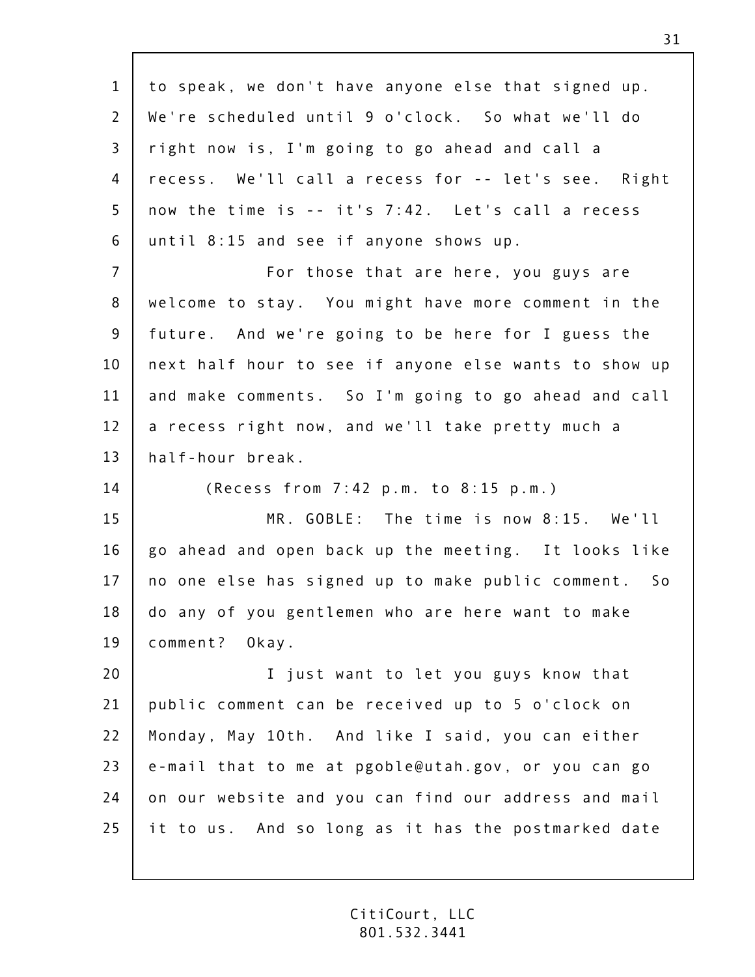1 2 3 4 5 6 7 8 9 10 11 12 13 14 15 16 17 18 19 20 21 22 23  $74$ 25 to speak, we don't have anyone else that signed up. We're scheduled until 9 o'clock. So what we'll do right now is, I'm going to go ahead and call a recess. We'll call a recess for -- let's see. Right now the time is -- it's 7:42. Let's call a recess until 8:15 and see if anyone shows up. For those that are here, you guys are welcome to stay. You might have more comment in the future. And we're going to be here for I guess the next half hour to see if anyone else wants to show up and make comments. So I'm going to go ahead and call a recess right now, and we'll take pretty much a half-hour break. (Recess from 7:42 p.m. to 8:15 p.m.) MR. GOBLE: The time is now 8:15. We'll go ahead and open back up the meeting. It looks like no one else has signed up to make public comment. So do any of you gentlemen who are here want to make comment? Okay. I just want to let you guys know that public comment can be received up to 5 o'clock on Monday, May 10th. And like I said, you can either e-mail that to me at pgoble@utah.gov, or you can go on our website and you can find our address and mail it to us. And so long as it has the postmarked date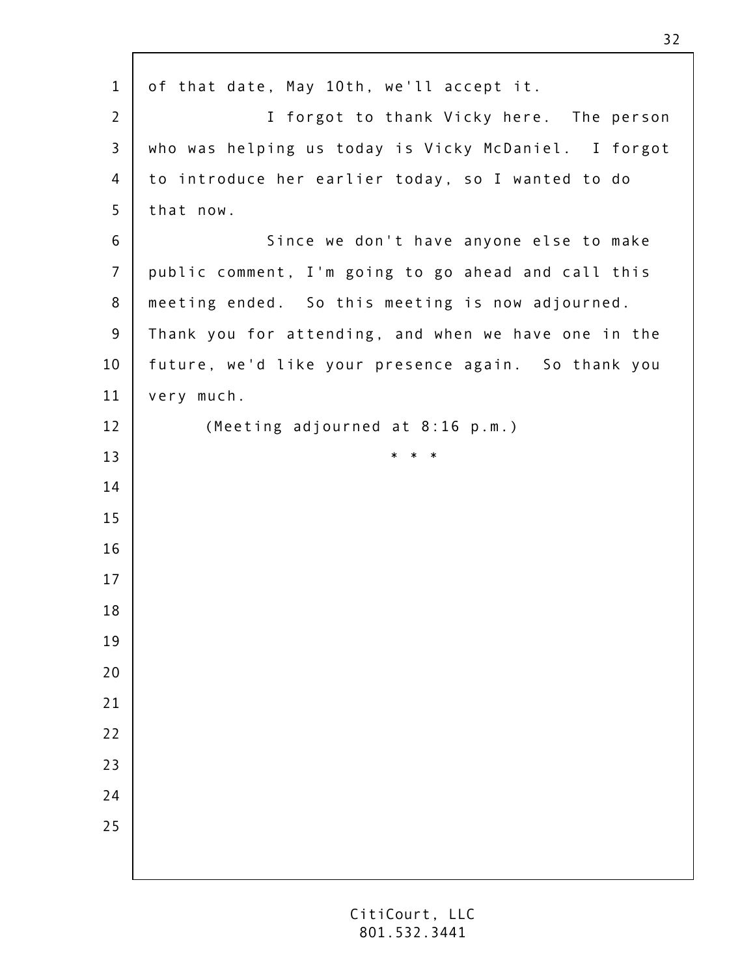of that date, May 10th, we'll accept it. I forgot to thank Vicky here. The person who was helping us today is Vicky McDaniel. I forgot to introduce her earlier today, so I wanted to do that now. Since we don't have anyone else to make public comment, I'm going to go ahead and call this meeting ended. So this meeting is now adjourned. Thank you for attending, and when we have one in the future, we'd like your presence again. So thank you very much. (Meeting adjourned at 8:16 p.m.) \* \* \*